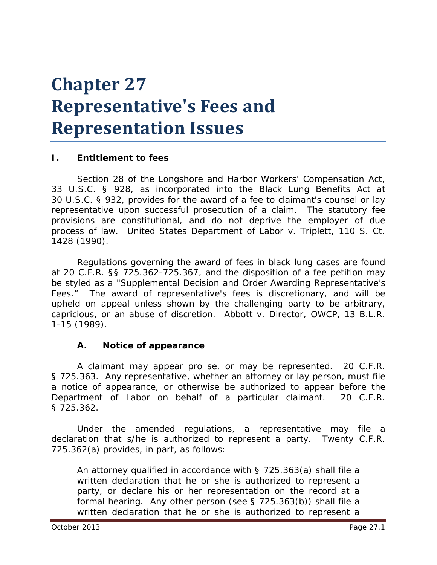# **Chapter 27 Representative's Fees and Representation Issues**

#### **I. Entitlement to fees**

Section 28 of the Longshore and Harbor Workers' Compensation Act, 33 U.S.C. § 928, as incorporated into the Black Lung Benefits Act at 30 U.S.C. § 932, provides for the award of a fee to claimant's counsel or lay representative upon successful prosecution of a claim. The statutory fee provisions are constitutional, and do not deprive the employer of due process of law. *United States Department of Labor v. Triplett*, 110 S. Ct. 1428 (1990).

Regulations governing the award of fees in black lung cases are found at 20 C.F.R. §§ 725.362-725.367, and the disposition of a fee petition may be styled as a "*Supplemental Decision and Order Awarding Representative's Fees*." The award of representative's fees is discretionary, and will be upheld on appeal unless shown by the challenging party to be arbitrary, capricious, or an abuse of discretion. *Abbott v. Director, OWCP*, 13 B.L.R. 1-15 (1989).

#### **A. Notice of appearance**

A claimant may appear *pro se,* or may be represented. 20 C.F.R. § 725.363. Any representative, whether an attorney or lay person, must file a notice of appearance, or otherwise be authorized to appear before the Department of Labor on behalf of a particular claimant. 20 C.F.R. § 725.362.

Under the amended regulations, a representative may file a declaration that s/he is authorized to represent a party. Twenty C.F.R. 725.362(a) provides, in part, as follows:

An attorney qualified in accordance with § 725.363(a) shall file a written declaration that he or she is authorized to represent a party, or declare his or her representation on the record at a formal hearing. Any other person (see § 725.363(b)) shall file a written declaration that he or she is authorized to represent a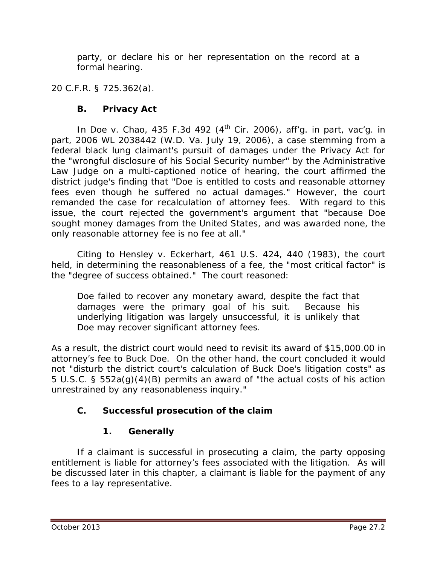party, or declare his or her representation on the record at a formal hearing.

20 C.F.R. § 725.362(a).

# **B. Privacy Act**

In *Doe v. Chao*, 435 F.3d 492 (4<sup>th</sup> Cir. 2006), *aff'g. in part, vac'g. in part*, 2006 WL 2038442 (W.D. Va. July 19, 2006), a case stemming from a federal black lung claimant's pursuit of damages under the Privacy Act for the "wrongful disclosure of his Social Security number" by the Administrative Law Judge on a multi-captioned notice of hearing, the court affirmed the district judge's finding that "Doe is entitled to costs and reasonable attorney fees even though he suffered no actual damages." However, the court remanded the case for recalculation of attorney fees. With regard to this issue, the court rejected the government's argument that "because Doe sought money damages from the United States, and was awarded none, the only reasonable attorney fee is no fee at all."

Citing to *Hensley v. Eckerhart*, 461 U.S. 424, 440 (1983), the court held, in determining the reasonableness of a fee, the "most critical factor" is the "degree of success obtained." The court reasoned:

Doe failed to recover any monetary award, despite the fact that damages were the primary goal of his suit. Because his underlying litigation was largely unsuccessful, it is unlikely that Doe may recover significant attorney fees.

As a result, the district court would need to revisit its award of \$15,000.00 in attorney's fee to Buck Doe. On the other hand, the court concluded it would not "disturb the district court's calculation of Buck Doe's litigation costs" as 5 U.S.C. § 552a(g)(4)(B) permits an award of "the actual costs of his action unrestrained by any reasonableness inquiry."

# **C. Successful prosecution of the claim**

# **1. Generally**

If a claimant is successful in prosecuting a claim, the party opposing entitlement is liable for attorney's fees associated with the litigation. As will be discussed later in this chapter, a claimant is liable for the payment of any fees to a lay representative.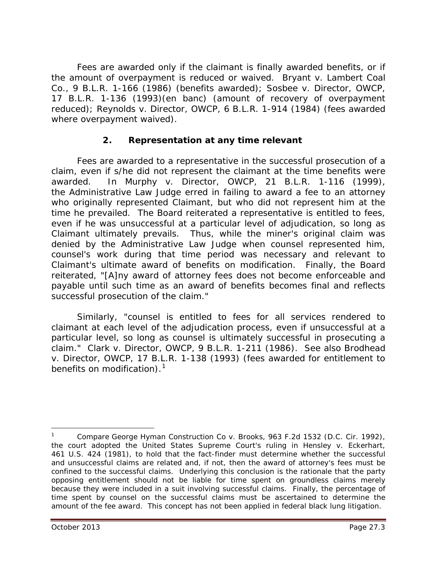Fees are awarded only if the claimant is finally awarded benefits, or if the amount of overpayment is reduced or waived. *Bryant v. Lambert Coal Co.*, 9 B.L.R. 1-166 (1986) (benefits awarded); *Sosbee v. Director, OWCP*, 17 B.L.R. 1-136 (1993)(*en banc*) (amount of recovery of overpayment reduced); *Reynolds v. Director, OWCP*, 6 B.L.R. 1-914 (1984) (fees awarded where overpayment waived).

## **2. Representation at any time relevant**

Fees are awarded to a representative in the successful prosecution of a claim, even if s/he did not represent the claimant at the time benefits were awarded. In *Murphy v. Director, OWCP*, 21 B.L.R. 1-116 (1999), the Administrative Law Judge erred in failing to award a fee to an attorney who originally represented Claimant, but who did not represent him at the time he prevailed. The Board reiterated a representative is entitled to fees, even if he was unsuccessful at a particular level of adjudication, so long as Claimant ultimately prevails. Thus, while the miner's original claim was denied by the Administrative Law Judge when counsel represented him, counsel's work during that time period was necessary and relevant to Claimant's ultimate award of benefits on modification. Finally, the Board reiterated, "[A]ny award of attorney fees does not become enforceable and payable until such time as an award of benefits becomes final and reflects successful prosecution of the claim."

Similarly, "counsel is entitled to fees for all services rendered to claimant at each level of the adjudication process, even if unsuccessful at a particular level, so long as counsel is ultimately successful in prosecuting a claim." *Clark v. Director, OWCP*, 9 B.L.R. 1-211 (1986). *See also Brodhead v. Director, OWCP*, 17 B.L.R. 1-138 (1993) (fees awarded for entitlement to benefits on modification). $<sup>1</sup>$  $<sup>1</sup>$  $<sup>1</sup>$ </sup>

 $\overline{a}$ 

<span id="page-2-0"></span><sup>1</sup> *Compare George Hyman Construction Co v. Brooks*, 963 F.2d 1532 (D.C. Cir. 1992), the court adopted the United States Supreme Court's ruling in *Hensley v. Eckerhart*, 461 U.S. 424 (1981), to hold that the fact-finder must determine whether the successful and unsuccessful claims are related and, if not, then the award of attorney's fees must be confined to the successful claims. Underlying this conclusion is the rationale that the party opposing entitlement should not be liable for time spent on groundless claims merely because they were included in a suit involving successful claims. Finally, the percentage of time spent by counsel on the successful claims must be ascertained to determine the amount of the fee award. This concept has not been applied in federal black lung litigation.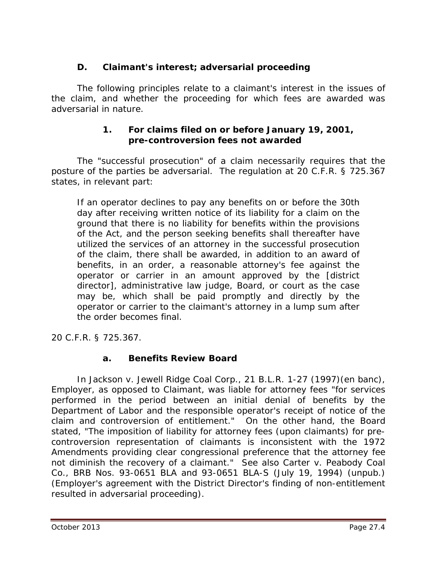## **D. Claimant's interest; adversarial proceeding**

The following principles relate to a claimant's interest in the issues of the claim, and whether the proceeding for which fees are awarded was *adversarial* in nature.

#### **1. For claims filed on or before January 19, 2001, pre-controversion fees not awarded**

The "successful prosecution" of a claim necessarily requires that the posture of the parties be adversarial. The regulation at 20 C.F.R. § 725.367 states, in relevant part:

If an operator declines to pay any benefits on or before the 30th day after receiving written notice of its liability for a claim on the ground that there is no liability for benefits within the provisions of the Act, and the person seeking benefits shall thereafter have utilized the services of an attorney in the successful prosecution of the claim, there shall be awarded, in addition to an award of benefits, in an order, a reasonable attorney's fee against the operator or carrier in an amount approved by the [district director], administrative law judge, Board, or court as the case may be, which shall be paid promptly and directly by the operator or carrier to the claimant's attorney in a lump sum after the order becomes final.

20 C.F.R. § 725.367.

## **a. Benefits Review Board**

In *Jackson v. Jewell Ridge Coal Corp.*, 21 B.L.R. 1-27 (1997)(en banc), Employer, as opposed to Claimant, was liable for attorney fees "for services performed in the period between an initial denial of benefits by the Department of Labor and the responsible operator's receipt of notice of the claim and controversion of entitlement." On the other hand, the Board stated, "The imposition of liability for attorney fees (upon claimants) for precontroversion representation of claimants is inconsistent with the 1972 Amendments providing clear congressional preference that the attorney fee not diminish the recovery of a claimant." *See also Carter v. Peabody Coal Co.*, BRB Nos. 93-0651 BLA and 93-0651 BLA-S (July 19, 1994) (unpub.) (Employer's agreement with the District Director's finding of non-entitlement resulted in *adversarial* proceeding).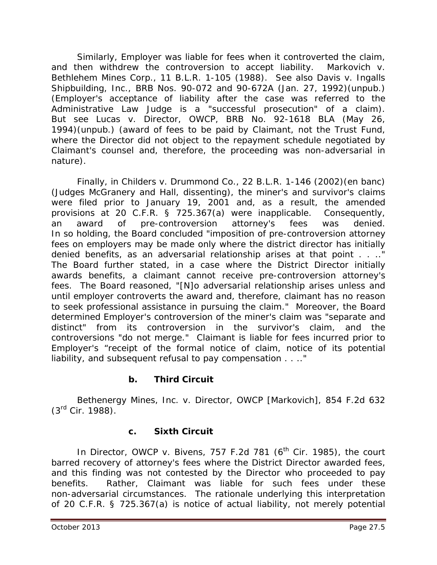Similarly, Employer was liable for fees when it controverted the claim, and then withdrew the controversion to accept liability. *Markovich v. Bethlehem Mines Corp.*, 11 B.L.R. 1-105 (1988). *See also Davis v. Ingalls Shipbuilding, Inc.*, BRB Nos. 90-072 and 90-672A (Jan. 27, 1992)(unpub.) (Employer's acceptance of liability after the case was referred to the Administrative Law Judge is a "successful prosecution" of a claim). *But see Lucas v. Director, OWCP*, BRB No. 92-1618 BLA (May 26, 1994)(unpub.) (award of fees to be paid by Claimant, not the Trust Fund, where the Director did not object to the repayment schedule negotiated by Claimant's counsel and, therefore, the proceeding was non-adversarial in nature).

Finally, in *Childers v. Drummond Co.*, 22 B.L.R. 1-146 (2002)(en banc) (Judges McGranery and Hall, dissenting), the miner's and survivor's claims were filed prior to January 19, 2001 and, as a result, the amended provisions at 20 C.F.R. § 725.367(a) were inapplicable. Consequently, an award of pre-controversion attorney's fees was denied. In so holding, the Board concluded "imposition of pre-controversion attorney fees on employers may be made only where the district director has initially denied benefits, as an adversarial relationship arises at that point . . . . The Board further stated, in a case where the District Director initially awards benefits, a claimant cannot receive pre-controversion attorney's fees. The Board reasoned, "[N]o adversarial relationship arises unless and until employer controverts the award and, therefore, claimant has no reason to seek professional assistance in pursuing the claim." Moreover, the Board determined Employer's controversion of the miner's claim was "separate and distinct" from its controversion in the survivor's claim, and the controversions "do not merge." Claimant is liable for fees incurred prior to Employer's "receipt of the formal notice of claim, notice of its potential liability, and subsequent refusal to pay compensation . . .."

## **b. Third Circuit**

*Bethenergy Mines, Inc. v. Director, OWCP [Markovich]*, 854 F.2d 632 (3rd Cir. 1988).

## **c. Sixth Circuit**

In *Director, OWCP v. Bivens*, 757 F.2d 781 (6<sup>th</sup> Cir. 1985), the court barred recovery of attorney's fees where the District Director awarded fees, and this finding was not contested by the Director who proceeded to pay benefits. Rather, Claimant was liable for such fees under these non-adversarial circumstances. The rationale underlying this interpretation of 20 C.F.R. § 725.367(a) is notice of *actua*l liability, not merely potential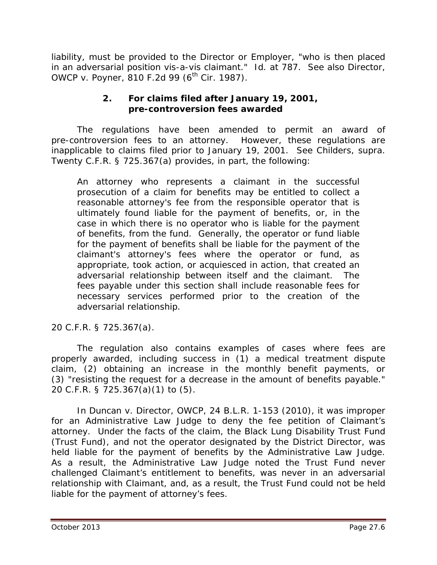liability, must be provided to the Director or Employer, "who is then placed in an adversarial position *vis-a-vis* claimant." *Id.* at 787. *See also Director, OWCP v. Poyner*, 810 F.2d 99 (6<sup>th</sup> Cir. 1987).

#### **2. For claims filed after January 19, 2001, pre-controversion fees awarded**

The regulations have been amended to permit an award of pre-controversion fees to an attorney. However, these regulations are inapplicable to claims filed prior to January 19, 2001. *See Childers, supra*. Twenty C.F.R. § 725.367(a) provides, in part, the following:

An attorney who represents a claimant in the successful prosecution of a claim for benefits may be entitled to collect a reasonable attorney's fee from the responsible operator that is ultimately found liable for the payment of benefits, or, in the case in which there is no operator who is liable for the payment of benefits, from the fund. Generally, the operator or fund liable for the payment of benefits shall be liable for the payment of the claimant's attorney's fees where the operator or fund, as appropriate, took action, or acquiesced in action, that created an adversarial relationship between itself and the claimant. The fees payable under this section shall include reasonable fees for necessary services performed prior to the creation of the adversarial relationship.

20 C.F.R. § 725.367(a).

The regulation also contains examples of cases where fees are properly awarded, including success in (1) a medical treatment dispute claim, (2) obtaining an increase in the monthly benefit payments, or (3) "resisting the request for a decrease in the amount of benefits payable." 20 C.F.R. § 725.367(a)(1) to (5).

In *Duncan v. Director, OWCP*, 24 B.L.R. 1-153 (2010), it was improper for an Administrative Law Judge to deny the fee petition of Claimant's attorney. Under the facts of the claim, the Black Lung Disability Trust Fund (Trust Fund), and not the operator designated by the District Director, was held liable for the payment of benefits by the Administrative Law Judge. As a result, the Administrative Law Judge noted the Trust Fund never challenged Claimant's entitlement to benefits, was never in an adversarial relationship with Claimant, and, as a result, the Trust Fund could not be held liable for the payment of attorney's fees.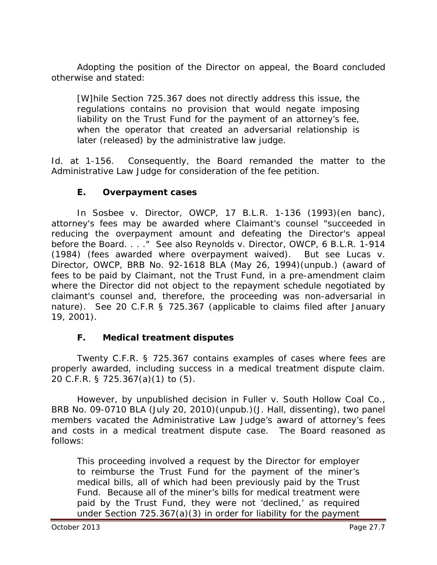Adopting the position of the Director on appeal, the Board concluded otherwise and stated:

[W]hile Section 725.367 does not directly address this issue, the regulations contains no provision that would negate imposing liability on the Trust Fund for the payment of an attorney's fee, when the operator that created an adversarial relationship is later (released) by the administrative law judge.

*Id.* at 1-156. Consequently, the Board remanded the matter to the Administrative Law Judge for consideration of the fee petition.

#### **E. Overpayment cases**

In *Sosbee v. Director, OWCP,* 17 B.L.R. 1-136 (1993)(*en banc*), attorney's fees may be awarded where Claimant's counsel "succeeded in reducing the overpayment amount and defeating the Director's appeal before the Board. . . ." *See also Reynolds v. Director, OWCP*, 6 B.L.R. 1-914 (1984) (fees awarded where overpayment waived). *But see Lucas v. Director, OWCP*, BRB No. 92-1618 BLA (May 26, 1994)(unpub.) (award of fees to be paid by Claimant, not the Trust Fund, in a pre-amendment claim where the Director did not object to the repayment schedule negotiated by claimant's counsel and, therefore, the proceeding was non-adversarial in nature). *See* 20 C.F.R § 725.367 (applicable to claims filed after January 19, 2001).

#### **F. Medical treatment disputes**

Twenty C.F.R. § 725.367 contains examples of cases where fees are properly awarded, including success in a medical treatment dispute claim. 20 C.F.R. § 725.367(a)(1) to (5).

However, by unpublished decision in *Fuller v. South Hollow Coal Co.*, BRB No. 09-0710 BLA (July 20, 2010)(unpub.)(J. Hall, dissenting), two panel members vacated the Administrative Law Judge's award of attorney's fees and costs in a medical treatment dispute case. The Board reasoned as follows:

This proceeding involved a request by the Director for employer to reimburse the Trust Fund for the payment of the miner's medical bills, all of which had been previously paid by the Trust Fund. Because all of the miner's bills for medical treatment were paid by the Trust Fund, they were not 'declined,' as required under Section 725.367(a)(3) in order for liability for the payment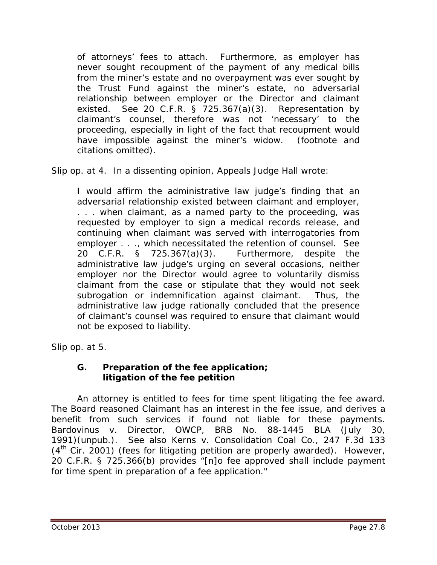of attorneys' fees to attach. Furthermore, as employer has never sought recoupment of the payment of any medical bills from the miner's estate and no overpayment was ever sought by the Trust Fund against the miner's estate, no adversarial relationship between employer or the Director and claimant existed. *See* 20 C.F.R. § 725.367(a)(3). Representation by claimant's counsel, therefore was not 'necessary' to the proceeding, especially in light of the fact that recoupment would have impossible against the miner's widow. (footnote and citations omitted).

*Slip op.* at 4. In a dissenting opinion, Appeals Judge Hall wrote:

I would affirm the administrative law judge's finding that an adversarial relationship existed between claimant and employer, . . . when claimant, as a named party to the proceeding, was requested by employer to sign a medical records release, and continuing when claimant was served with interrogatories from employer . . ., which necessitated the retention of counsel. *See* 20 C.F.R. § 725.367(a)(3). Furthermore, despite the administrative law judge's urging on several occasions, neither employer nor the Director would agree to voluntarily dismiss claimant from the case or stipulate that they would not seek subrogation or indemnification against claimant. Thus, the administrative law judge rationally concluded that the presence of claimant's counsel was required to ensure that claimant would not be exposed to liability.

*Slip op.* at 5.

## **G. Preparation of the fee application; litigation of the fee petition**

An attorney is entitled to fees for time spent *litigating the fee award*. The Board reasoned Claimant has an interest in the fee issue, and derives a benefit from such services if found not liable for these payments. *Bardovinus v. Director, OWCP*, BRB No. 88-1445 BLA (July 30, 1991)(unpub.). *See also Kerns v. Consolidation Coal Co*., 247 F.3d 133  $(4<sup>th</sup>$  Cir. 2001) (fees for litigating petition are properly awarded). However, 20 C.F.R. § 725.366(b) provides "[n]o fee approved shall include payment for time spent in preparation of a fee application."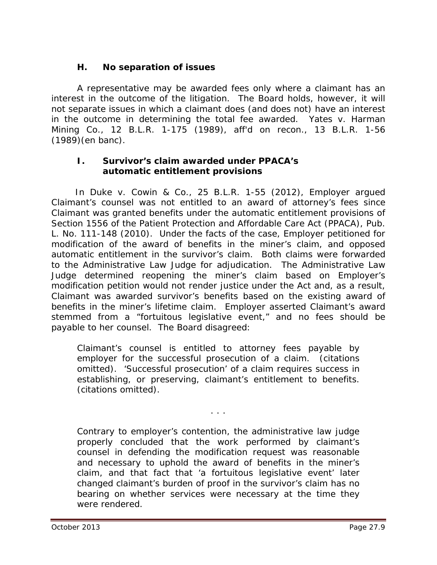## **H. No separation of issues**

A representative may be awarded fees only where a claimant has an interest in the outcome of the litigation. The Board holds, however, it will not separate issues in which a claimant does (and does not) have an interest in the outcome in determining the total fee awarded. *Yates v. Harman Mining Co.*, 12 B.L.R. 1-175 (1989), *aff'd on recon.*, 13 B.L.R. 1-56 (1989)(*en banc*).

#### **I. Survivor's claim awarded under PPACA's automatic entitlement provisions**

 In *Duke v. Cowin & Co.,* 25 B.L.R. 1-55 (2012), Employer argued Claimant's counsel was not entitled to an award of attorney's fees since Claimant was granted benefits under the automatic entitlement provisions of Section 1556 of the Patient Protection and Affordable Care Act (PPACA), Pub. L. No. 111-148 (2010). Under the facts of the case, Employer petitioned for modification of the award of benefits in the miner's claim, and opposed automatic entitlement in the survivor's claim. Both claims were forwarded to the Administrative Law Judge for adjudication. The Administrative Law Judge determined reopening the miner's claim based on Employer's modification petition would not render justice under the Act and, as a result, Claimant was awarded survivor's benefits based on the existing award of benefits in the miner's lifetime claim. Employer asserted Claimant's award stemmed from a "fortuitous legislative event," and no fees should be payable to her counsel. The Board disagreed:

Claimant's counsel is entitled to attorney fees payable by employer for the successful prosecution of a claim. (citations omitted). 'Successful prosecution' of a claim requires success in establishing, or preserving, claimant's entitlement to benefits. (citations omitted).

. . .

Contrary to employer's contention, the administrative law judge properly concluded that the work performed by claimant's counsel in defending the modification request was reasonable and necessary to uphold the award of benefits in the miner's claim, and that fact that 'a fortuitous legislative event' later changed claimant's burden of proof in the survivor's claim has no bearing on whether services were necessary at the time they were rendered.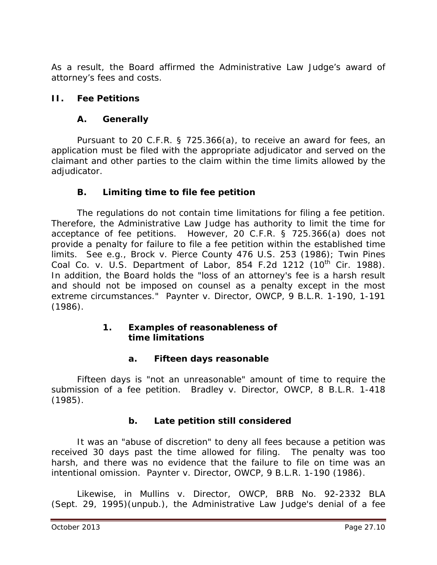As a result, the Board affirmed the Administrative Law Judge's award of attorney's fees and costs.

#### **II. Fee Petitions**

#### **A. Generally**

Pursuant to 20 C.F.R. § 725.366(a), to receive an award for fees, an application must be filed with the appropriate adjudicator and served on the claimant and other parties to the claim within the time limits allowed by the adjudicator.

## **B. Limiting time to file fee petition**

The regulations do not contain time limitations for filing a fee petition. Therefore, the Administrative Law Judge has authority to limit the time for acceptance of fee petitions. However, 20 C.F.R. § 725.366(a) does not provide a penalty for failure to file a fee petition within the established time limits. *See e.g., Brock v. Pierce County* 476 U.S. 253 (1986); *Twin Pines Coal Co. v. U.S. Department of Labor*, 854 F.2d 1212 (10th Cir. 1988). In addition, the Board holds the "loss of an attorney's fee is a harsh result and should not be imposed on counsel as a penalty except in the most extreme circumstances." *Paynter v. Director, OWCP*, 9 B.L.R. 1-190, 1-191 (1986).

#### **1. Examples of reasonableness of time limitations**

## **a. Fifteen days reasonable**

Fifteen days is "not an unreasonable" amount of time to require the submission of a fee petition. *Bradley v. Director, OWCP,* 8 B.L.R. 1-418 (1985).

## **b. Late petition still considered**

It was an "abuse of discretion" to deny all fees because a petition was received 30 days past the time allowed for filing. The penalty was too harsh, and there was no evidence that the failure to file on time was an intentional omission. *Paynter v. Director, OWCP*, 9 B.L.R. 1-190 (1986).

Likewise, in *Mullins v. Director, OWCP*, BRB No. 92-2332 BLA (Sept. 29, 1995)(unpub.), the Administrative Law Judge's denial of a fee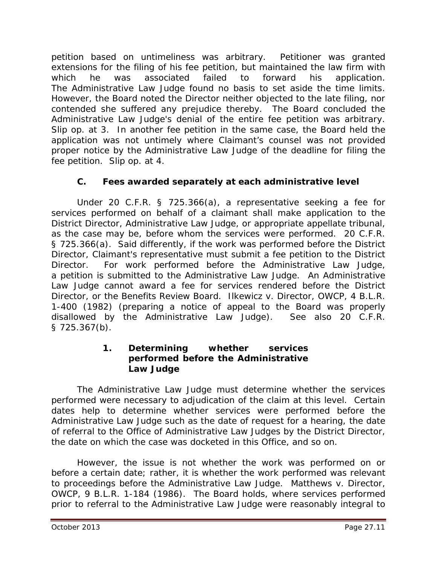petition based on untimeliness was arbitrary. Petitioner was granted extensions for the filing of his fee petition, but maintained the law firm with which he was associated failed to forward his application. The Administrative Law Judge found no basis to set aside the time limits. However, the Board noted the Director neither objected to the late filing, nor contended she suffered any prejudice thereby. The Board concluded the Administrative Law Judge's denial of the entire fee petition was arbitrary. *Slip op.* at 3. In another fee petition in the same case, the Board held the application was not untimely where Claimant's counsel was not provided proper notice by the Administrative Law Judge of the deadline for filing the fee petition. *Slip op.* at 4.

## **C. Fees awarded separately at each administrative level**

Under 20 C.F.R. § 725.366(a), a representative seeking a fee for services performed on behalf of a claimant shall make application to the District Director, Administrative Law Judge, or appropriate appellate tribunal, as the case may be, before whom the services were performed. 20 C.F.R. § 725.366(a). Said differently, if the work was performed before the District Director, Claimant's representative must submit a fee petition to the District Director. For work performed before the Administrative Law Judge, a petition is submitted to the Administrative Law Judge. An Administrative Law Judge cannot award a fee for services rendered before the District Director, or the Benefits Review Board. *Ilkewicz v. Director, OWCP*, 4 B.L.R. 1-400 (1982) (preparing a notice of appeal to the Board was properly disallowed by the Administrative Law Judge). *See also* 20 C.F.R. § 725.367(b).

#### **1. Determining whether services performed before the Administrative Law Judge**

The Administrative Law Judge must determine whether the services performed were necessary to adjudication of the claim at this level. Certain dates help to determine whether services were performed before the Administrative Law Judge such as the date of request for a hearing, the date of referral to the Office of Administrative Law Judges by the District Director, the date on which the case was docketed in this Office, and so on.

However, the issue is not whether the work was performed on or before a certain date; rather, it is whether the work performed was relevant to proceedings before the Administrative Law Judge. *Matthews v. Director, OWCP*, 9 B.L.R. 1-184 (1986). The Board holds, where services performed prior to referral to the Administrative Law Judge were reasonably integral to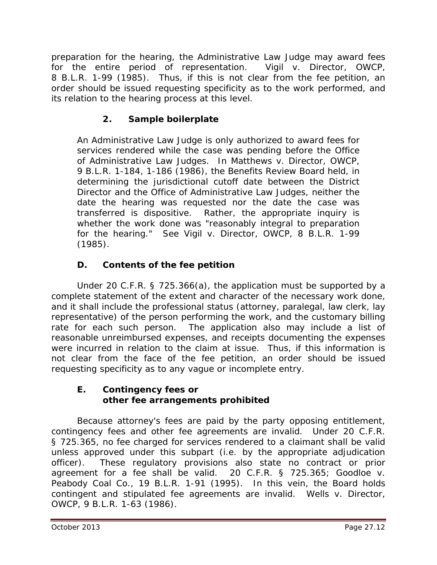preparation for the hearing, the Administrative Law Judge may award fees for the entire period of representation. *Vigil v. Director, OWCP*, 8 B.L.R. 1-99 (1985). Thus, if this is not clear from the fee petition, an order should be issued requesting specificity as to the work performed, and its relation to the hearing process at this level.

# **2. Sample boilerplate**

An Administrative Law Judge is only authorized to award fees for services rendered while the case was pending before the Office of Administrative Law Judges. In *Matthews v. Director, OWCP*, 9 B.L.R. 1-184, 1-186 (1986), the Benefits Review Board held, in determining the jurisdictional cutoff date between the District Director and the Office of Administrative Law Judges, neither the date the hearing was requested nor the date the case was transferred is dispositive. Rather, the appropriate inquiry is whether the work done was "reasonably integral to preparation for the hearing." *See Vigil v. Director, OWCP*, 8 B.L.R. 1-99 (1985).

## **D. Contents of the fee petition**

Under 20 C.F.R. § 725.366(a), the application must be supported by a complete statement of the extent and character of the necessary work done, and it shall include the professional status (attorney, paralegal, law clerk, lay representative) of the person performing the work, and the customary billing rate for each such person. The application also may include a list of reasonable unreimbursed expenses, and receipts documenting the expenses were incurred in relation to the claim at issue. Thus, if this information is not clear from the face of the fee petition, an order should be issued requesting specificity as to any vague or incomplete entry.

#### **E. Contingency fees or other fee arrangements prohibited**

Because attorney's fees are paid by the party opposing entitlement, contingency fees and other fee agreements are invalid. Under 20 C.F.R. § 725.365, no fee charged for services rendered to a claimant shall be valid unless approved under this subpart (*i.e.* by the appropriate adjudication officer). These regulatory provisions also state no contract or prior agreement for a fee shall be valid. 20 C.F.R. § 725.365; *Goodloe v. Peabody Coal Co.*, 19 B.L.R. 1-91 (1995). In this vein, the Board holds contingent and stipulated fee agreements are invalid. *Wells v. Director, OWCP*, 9 B.L.R. 1-63 (1986).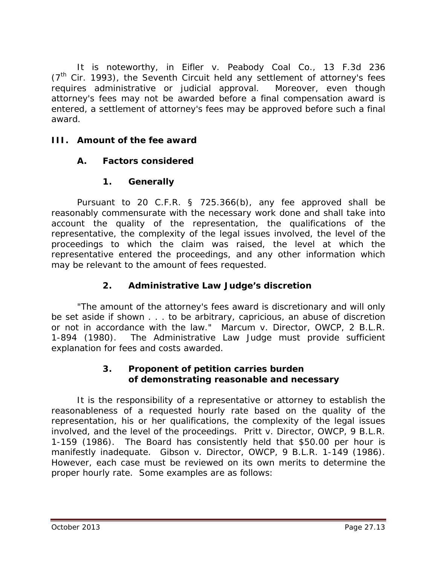It is noteworthy, in *Eifler v. Peabody Coal Co.*, 13 F.3d 236  $(7<sup>th</sup>$  Cir. 1993), the Seventh Circuit held any settlement of attorney's fees requires administrative or judicial approval. Moreover, even though attorney's fees may not be awarded before a final compensation award is entered, a *settlement* of attorney's fees may be approved before such a final award.

#### **III. Amount of the fee award**

## **A. Factors considered**

## **1. Generally**

Pursuant to 20 C.F.R. § 725.366(b), any fee approved shall be reasonably commensurate with the necessary work done and shall take into account the quality of the representation, the qualifications of the representative, the complexity of the legal issues involved, the level of the proceedings to which the claim was raised, the level at which the representative entered the proceedings, and any other information which may be relevant to the amount of fees requested.

## **2. Administrative Law Judge's discretion**

"The amount of the attorney's fees award is discretionary and will only be set aside if shown . . . to be arbitrary, capricious, an abuse of discretion or not in accordance with the law." *Marcum v. Director, OWCP*, 2 B.L.R. 1-894 (1980). The Administrative Law Judge must provide sufficient explanation for fees and costs awarded.

## **3. Proponent of petition carries burden of demonstrating reasonable and necessary**

It is the responsibility of a representative or attorney to establish the reasonableness of a requested hourly rate based on the quality of the representation, his or her qualifications, the complexity of the legal issues involved, and the level of the proceedings. *Pritt v. Director, OWCP*, 9 B.L.R. 1-159 (1986). The Board has consistently held that \$50.00 per hour is manifestly inadequate. *Gibson v. Director, OWCP*, 9 B.L.R. 1-149 (1986). However, each case must be reviewed on its own merits to determine the proper hourly rate. Some examples are as follows: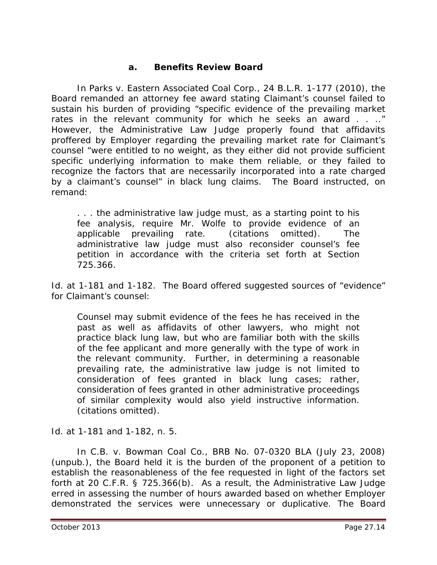#### **a. Benefits Review Board**

In *Parks v. Eastern Associated Coal Corp.*, 24 B.L.R. 1-177 (2010), the Board remanded an attorney fee award stating Claimant's counsel failed to sustain his burden of providing "specific evidence of the prevailing market rates in the relevant community for which he seeks an award . . .." However, the Administrative Law Judge properly found that affidavits proffered by Employer regarding the prevailing market rate for Claimant's counsel "were entitled to no weight, as they either did not provide sufficient specific underlying information to make them reliable, or they failed to recognize the factors that are necessarily incorporated into a rate charged by a claimant's counsel" in black lung claims. The Board instructed, on remand:

. . . the administrative law judge must, as a starting point to his fee analysis, require Mr. Wolfe to provide evidence of an applicable prevailing rate. (citations omitted). The administrative law judge must also reconsider counsel's fee petition in accordance with the criteria set forth at Section 725.366.

*Id.* at 1-181 and 1-182. The Board offered suggested sources of "evidence" for Claimant's counsel:

Counsel may submit evidence of the fees he has received in the past as well as affidavits of other lawyers, who might not practice black lung law, but who are familiar both with the skills of the fee applicant and more generally with the type of work in the relevant community. Further, in determining a reasonable prevailing rate, the administrative law judge is not limited to consideration of fees granted in black lung cases; rather, consideration of fees granted in other administrative proceedings of similar complexity would also yield instructive information. (citations omitted).

*Id*. at 1-181 and 1-182, n. 5.

 In *C.B. v. Bowman Coal Co.*, BRB No. 07-0320 BLA (July 23, 2008) (unpub.), the Board held it is the burden of the proponent of a petition to establish the reasonableness of the fee requested in light of the factors set forth at 20 C.F.R. § 725.366(b). As a result, the Administrative Law Judge erred in assessing the number of hours awarded based on whether Employer demonstrated the services were unnecessary or duplicative. The Board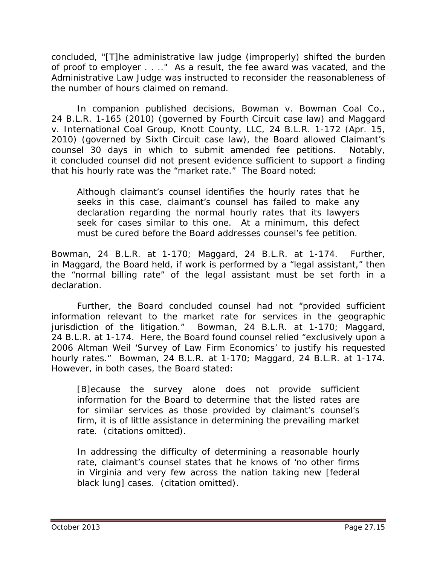concluded, "[T]he administrative law judge (improperly) shifted the burden of proof to employer . . .." As a result, the fee award was vacated, and the Administrative Law Judge was instructed to reconsider the reasonableness of the number of hours claimed on remand.

In companion published decisions, *Bowman v. Bowman Coal Co.*, 24 B.L.R. 1-165 (2010) (governed by Fourth Circuit case law) and *Maggard v. International Coal Group, Knott County, LLC*, 24 B.L.R. 1-172 (Apr. 15, 2010) (governed by Sixth Circuit case law), the Board allowed Claimant's counsel 30 days in which to submit amended fee petitions. Notably, it concluded counsel did not present evidence sufficient to support a finding that his hourly rate was the "market rate." The Board noted:

Although claimant's counsel identifies the hourly rates that he seeks in this case, claimant's counsel has failed to make any declaration regarding the normal hourly rates that its lawyers seek for cases similar to this one. At a minimum, this defect must be cured before the Board addresses counsel's fee petition.

*Bowman*, 24 B.L.R. at 1-170; *Maggard*, 24 B.L.R. at 1-174. Further, in *Maggard*, the Board held, if work is performed by a "legal assistant," then the "normal billing rate" of the legal assistant must be set forth in a declaration.

Further, the Board concluded counsel had not "provided sufficient information relevant to the market rate for services in the geographic jurisdiction of the litigation." *Bowman*, 24 B.L.R. at 1-170; *Maggard*, 24 B.L.R. at 1-174. Here, the Board found counsel relied "exclusively upon a 2006 Altman Weil 'Survey of Law Firm Economics' to justify his requested hourly rates." *Bowman*, 24 B.L.R. at 1-170; *Maggard*, 24 B.L.R. at 1-174. However, in both cases, the Board stated:

[B]ecause the survey alone does not provide sufficient information for the Board to determine that the listed rates are for similar services as those provided by claimant's counsel's firm, it is of little assistance in determining the prevailing market rate. (citations omitted).

In addressing the difficulty of determining a reasonable hourly rate, claimant's counsel states that he knows of 'no other firms in Virginia and very few across the nation taking new [federal black lung] cases. (citation omitted).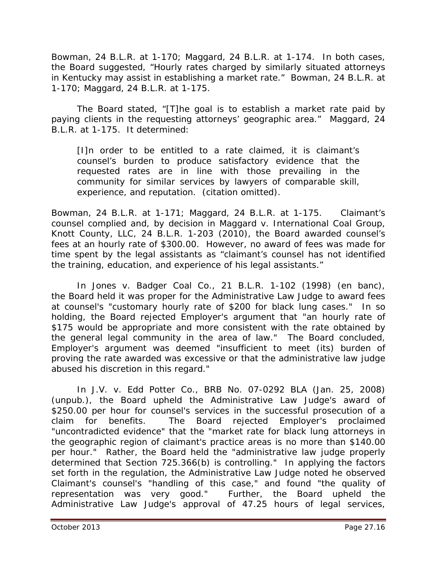*Bowman*, 24 B.L.R. at 1-170; *Maggard*, 24 B.L.R. at 1-174. In both cases, the Board suggested, "Hourly rates charged by similarly situated attorneys in Kentucky may assist in establishing a market rate." *Bowman*, 24 B.L.R. at 1-170; *Maggard*, 24 B.L.R. at 1-175.

The Board stated, "[T]he goal is to establish a market rate paid by paying clients in the requesting attorneys' geographic area." *Maggard*, 24 B.L.R. at 1-175. It determined:

[I]n order to be entitled to a rate claimed, it is claimant's counsel's burden to produce satisfactory evidence that the requested rates are in line with those prevailing in the community for similar services by lawyers of comparable skill, experience, and reputation. (citation omitted).

*Bowman*, 24 B.L.R. at 1-171; *Maggard*, 24 B.L.R. at 1-175. Claimant's counsel complied and, by decision in *Maggard v. International Coal Group, Knott County, LLC*, 24 B.L.R. 1-203 (2010), the Board awarded counsel's fees at an hourly rate of \$300.00. However, no award of fees was made for time spent by the legal assistants as "claimant's counsel has not identified the training, education, and experience of his legal assistants."

In *Jones v. Badger Coal Co.*, 21 B.L.R. 1-102 (1998) (*en banc*), the Board held it was proper for the Administrative Law Judge to award fees at counsel's "customary hourly rate of \$200 for black lung cases." In so holding, the Board rejected Employer's argument that "an hourly rate of \$175 would be appropriate and more consistent with the rate obtained by the general legal community in the area of law." The Board concluded, Employer's argument was deemed "insufficient to meet (its) burden of proving the rate awarded was excessive or that the administrative law judge abused his discretion in this regard."

In *J.V. v. Edd Potter Co.*, BRB No. 07-0292 BLA (Jan. 25, 2008) (unpub.), the Board upheld the Administrative Law Judge's award of \$250.00 per hour for counsel's services in the successful prosecution of a claim for benefits. The Board rejected Employer's proclaimed "uncontradicted evidence" that the "market rate for black lung attorneys in the geographic region of claimant's practice areas is no more than \$140.00 per hour." Rather, the Board held the "administrative law judge properly determined that Section 725.366(b) is controlling." In applying the factors set forth in the regulation, the Administrative Law Judge noted he observed Claimant's counsel's "handling of this case," and found "the quality of representation was very good." Further, the Board upheld the Administrative Law Judge's approval of 47.25 hours of legal services,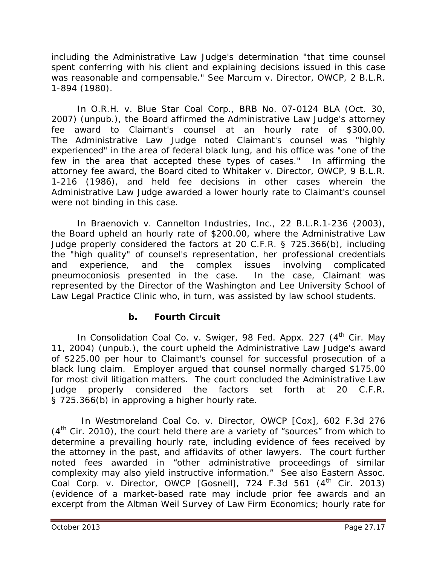including the Administrative Law Judge's determination "that time counsel spent conferring with his client and explaining decisions issued in this case was reasonable and compensable." *See Marcum v. Director, OWCP*, 2 B.L.R. 1-894 (1980).

In *O.R.H. v. Blue Star Coal Corp.*, BRB No. 07-0124 BLA (Oct. 30, 2007) (unpub.), the Board affirmed the Administrative Law Judge's attorney fee award to Claimant's counsel at an hourly rate of \$300.00. The Administrative Law Judge noted Claimant's counsel was "highly experienced" in the area of federal black lung, and his office was "one of the few in the area that accepted these types of cases." In affirming the attorney fee award, the Board cited to *Whitaker v. Director, OWCP,* 9 B.L.R. 1-216 (1986), and held fee decisions in other cases wherein the Administrative Law Judge awarded a lower hourly rate to Claimant's counsel were not binding in this case.

In *Braenovich v. Cannelton Industries, Inc.*, 22 B.L.R.1-236 (2003), the Board upheld an hourly rate of \$200.00, where the Administrative Law Judge properly considered the factors at 20 C.F.R. § 725.366(b), including the "high quality" of counsel's representation, her professional credentials and experience, and the complex issues involving complicated pneumoconiosis presented in the case. In the case, Claimant was represented by the Director of the Washington and Lee University School of Law Legal Practice Clinic who, in turn, was assisted by law school students.

## **b. Fourth Circuit**

In *Consolidation Coal Co. v. Swiger*, 98 Fed. Appx. 227 (4<sup>th</sup> Cir. May 11, 2004) (unpub.), the court upheld the Administrative Law Judge's award of \$225.00 per hour to Claimant's counsel for successful prosecution of a black lung claim. Employer argued that counsel normally charged \$175.00 for most civil litigation matters. The court concluded the Administrative Law Judge properly considered the factors set forth at 20 C.F.R. § 725.366(b) in approving a higher hourly rate.

 In *Westmoreland Coal Co. v. Director, OWCP [Cox]*, 602 F.3d 276  $(4<sup>th</sup>$  Cir. 2010), the court held there are a variety of "sources" from which to determine a prevailing hourly rate, including evidence of fees received by the attorney in the past, and affidavits of other lawyers. The court further noted fees awarded in "other administrative proceedings of similar complexity may also yield instructive information." *See also Eastern Assoc. Coal Corp. v. Director, OWCP [Gosnell]*, 724 F.3d 561 (4<sup>th</sup> Cir. 2013) (evidence of a market-based rate may include prior fee awards and an excerpt from the Altman Weil *Survey of Law Firm Economics*; hourly rate for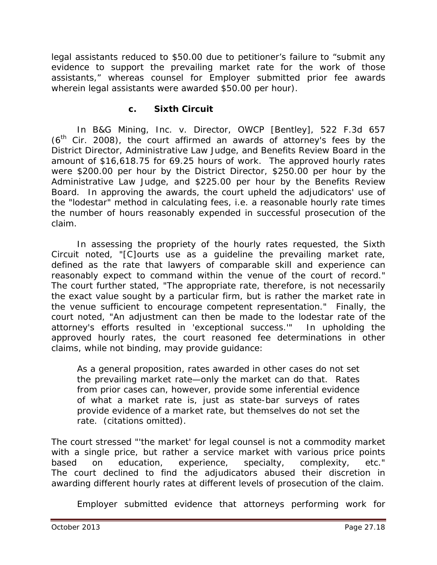legal assistants reduced to \$50.00 due to petitioner's failure to "submit any evidence to support the prevailing market rate for the work of those assistants," whereas counsel for Employer submitted prior fee awards wherein legal assistants were awarded \$50.00 per hour).

#### **c. Sixth Circuit**

In *B&G Mining, Inc. v. Director, OWCP [Bentley]*, 522 F.3d 657  $(6<sup>th</sup>$  Cir. 2008), the court affirmed an awards of attorney's fees by the District Director, Administrative Law Judge, and Benefits Review Board in the amount of \$16,618.75 for 69.25 hours of work. The approved hourly rates were \$200.00 per hour by the District Director, \$250.00 per hour by the Administrative Law Judge, and \$225.00 per hour by the Benefits Review Board. In approving the awards, the court upheld the adjudicators' use of the "lodestar" method in calculating fees, *i.e.* a reasonable hourly rate times the number of hours reasonably expended in successful prosecution of the claim.

In assessing the propriety of the hourly rates requested, the Sixth Circuit noted, "[C]ourts use as a guideline the prevailing market rate, defined as the rate that lawyers of comparable skill and experience can reasonably expect to command within the venue of the court of record." The court further stated, "The appropriate rate, therefore, is not necessarily the exact value sought by a particular firm, but is rather the market rate in the venue sufficient to encourage competent representation." Finally, the court noted, "An adjustment can then be made to the lodestar rate of the attorney's efforts resulted in 'exceptional success.'" In upholding the approved hourly rates, the court reasoned fee determinations in other claims, while not binding, may provide guidance:

As a general proposition, rates awarded in other cases do not set the prevailing market rate—only the market can do that. Rates from prior cases can, however, provide some inferential evidence of what a market rate is, just as state-bar surveys of rates provide evidence of a market rate, but themselves do not set the rate. (citations omitted).

The court stressed "'the market' for legal counsel is not a commodity market with a single price, but rather a service market with various price points based on education, experience, specialty, complexity, etc." The court declined to find the adjudicators abused their discretion in awarding different hourly rates at different levels of prosecution of the claim.

Employer submitted evidence that attorneys performing work for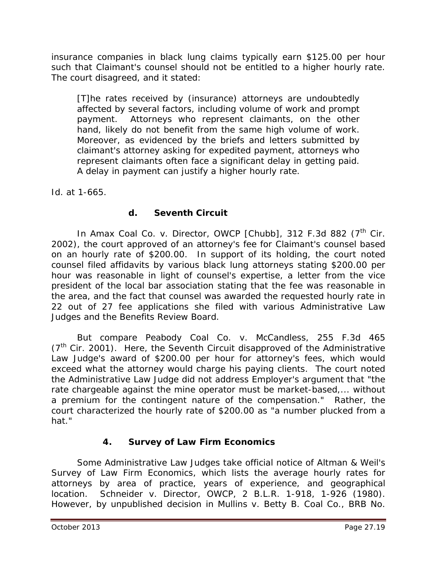insurance companies in black lung claims typically earn \$125.00 per hour such that Claimant's counsel should not be entitled to a higher hourly rate. The court disagreed, and it stated:

[T]he rates received by (insurance) attorneys are undoubtedly affected by several factors, including volume of work and prompt payment. Attorneys who represent claimants, on the other hand, likely do not benefit from the same high volume of work. Moreover, as evidenced by the briefs and letters submitted by claimant's attorney asking for expedited payment, attorneys who represent claimants often face a significant delay in getting paid. A delay in payment can justify a higher hourly rate.

*Id.* at 1-665.

## **d. Seventh Circuit**

In *Amax Coal Co. v. Director, OWCP [Chubb]*, 312 F.3d 882 (7<sup>th</sup> Cir. 2002), the court approved of an attorney's fee for Claimant's counsel based on an hourly rate of \$200.00. In support of its holding, the court noted counsel filed affidavits by various black lung attorneys stating \$200.00 per hour was reasonable in light of counsel's expertise, a letter from the vice president of the local bar association stating that the fee was reasonable in the area, and the fact that counsel was awarded the requested hourly rate in 22 out of 27 fee applications she filed with various Administrative Law Judges and the Benefits Review Board.

*But compare Peabody Coal Co. v. McCandless*, 255 F.3d 465  $(7<sup>th</sup>$  Cir. 2001). Here, the Seventh Circuit disapproved of the Administrative Law Judge's award of \$200.00 per hour for attorney's fees, which would exceed what the attorney would charge his paying clients. The court noted the Administrative Law Judge did not address Employer's argument that "the rate chargeable against the mine operator must be market-based,... without a premium for the contingent nature of the compensation." Rather, the court characterized the hourly rate of \$200.00 as "a number plucked from a hat."

## **4.** *Survey of Law Firm Economics*

Some Administrative Law Judges take official notice of Altman & Weil's *Survey of Law Firm Economics*, which lists the average hourly rates for attorneys by area of practice, years of experience, and geographical location. *Schneider v. Director, OWCP*, 2 B.L.R. 1-918, 1-926 (1980). However, by unpublished decision in *Mullins v. Betty B. Coal Co.*, BRB No.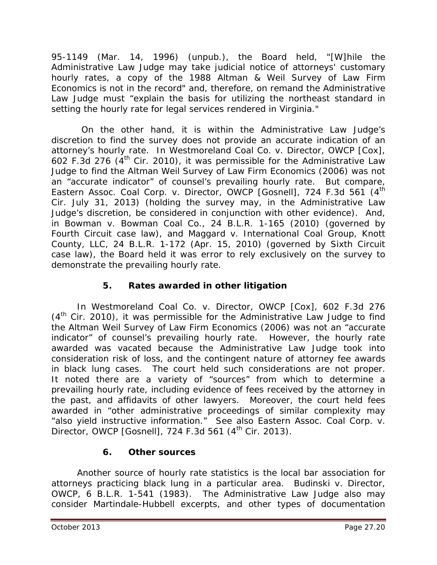95-1149 (Mar. 14, 1996) (unpub.), the Board held, "[W]hile the Administrative Law Judge may take judicial notice of attorneys' customary hourly rates, a copy of the 1988 *Altman & Weil Survey of Law Firm Economics* is not in the record" and, therefore, on remand the Administrative Law Judge must "explain the basis for utilizing the northeast standard in setting the hourly rate for legal services rendered in Virginia."

 On the other hand, it is within the Administrative Law Judge's discretion to find the survey does not provide an accurate indication of an attorney's hourly rate. In *Westmoreland Coal Co. v. Director, OWCP [Cox]*, 602 F.3d 276  $(4<sup>th</sup>$  Cir. 2010), it was permissible for the Administrative Law Judge to find the Altman Weil Survey of Law Firm Economics (2006) was not an "accurate indicator" of counsel's prevailing hourly rate. *But compare, Eastern Assoc. Coal Corp. v. Director, OWCP [Gosnell]*, 724 F.3d 561 (4th Cir. July 31, 2013) (holding the survey may, in the Administrative Law Judge's discretion, be considered in conjunction with other evidence). And, in *Bowman v. Bowman Coal Co.*, 24 B.L.R. 1-165 (2010) (governed by Fourth Circuit case law), and *Maggard v. International Coal Group, Knott County, LLC*, 24 B.L.R. 1-172 (Apr. 15, 2010) (governed by Sixth Circuit case law), the Board held it was error to rely exclusively on the survey to demonstrate the prevailing hourly rate.

## **5. Rates awarded in other litigation**

In *Westmoreland Coal Co. v. Director, OWCP [Cox]*, 602 F.3d 276  $(4<sup>th</sup>$  Cir. 2010), it was permissible for the Administrative Law Judge to find the Altman Weil Survey of Law Firm Economics (2006) was not an "accurate indicator" of counsel's prevailing hourly rate. However, the hourly rate awarded was vacated because the Administrative Law Judge took into consideration risk of loss, and the contingent nature of attorney fee awards in black lung cases. The court held such considerations are not proper. It noted there are a variety of "sources" from which to determine a prevailing hourly rate, including evidence of fees received by the attorney in the past, and affidavits of other lawyers. Moreover, the court held fees awarded in "other administrative proceedings of similar complexity may "also yield instructive information." *See also Eastern Assoc. Coal Corp. v. Director, OWCP [Gosnell], 724 F.3d 561 (4<sup>th</sup> Cir. 2013).* 

## **6. Other sources**

Another source of hourly rate statistics is the local bar association for attorneys practicing black lung in a particular area. *Budinski v. Director, OWCP*, 6 B.L.R. 1-541 (1983). The Administrative Law Judge also may consider *Martindale-Hubbell* excerpts, and other types of documentation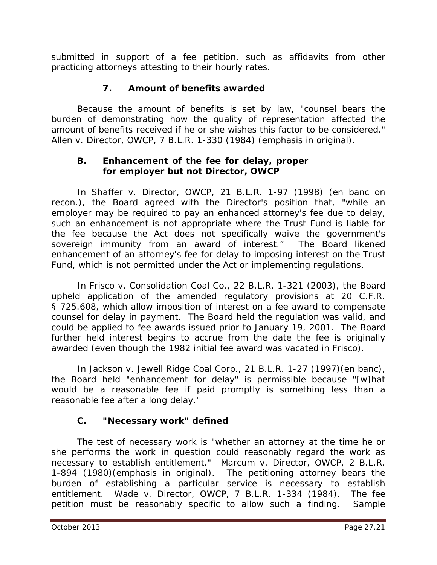submitted in support of a fee petition, such as affidavits from other practicing attorneys attesting to their hourly rates.

## **7. Amount of benefits awarded**

Because the amount of benefits is set by law, "counsel bears the burden of demonstrating how the quality of representation affected the *amount* of benefits received if he or she wishes this factor to be considered." *Allen v. Director, OWCP*, 7 B.L.R. 1-330 (1984) (emphasis in original).

#### **B. Enhancement of the fee for delay, proper for employer but not Director, OWCP**

In *Shaffer v. Director, OWCP*, 21 B.L.R. 1-97 (1998) (*en banc on recon.*), the Board agreed with the Director's position that, "while an employer may be required to pay an enhanced attorney's fee due to delay, such an enhancement is not appropriate where the Trust Fund is liable for the fee because the Act does not specifically waive the government's sovereign immunity from an award of interest." The Board likened enhancement of an attorney's fee for delay to imposing interest on the Trust Fund, which is not permitted under the Act or implementing regulations.

In *Frisco v. Consolidation Coal Co.*, 22 B.L.R. 1-321 (2003), the Board upheld application of the amended regulatory provisions at 20 C.F.R. § 725.608, which allow imposition of interest on a fee award to compensate counsel for delay in payment. The Board held the regulation was valid, and could be applied to fee awards issued prior to January 19, 2001. The Board further held interest begins to accrue from the date the fee is originally awarded (even though the 1982 initial fee award was vacated in *Frisco*).

In *Jackson v. Jewell Ridge Coal Corp.*, 21 B.L.R. 1-27 (1997)(en banc), the Board held "enhancement for delay" is permissible because "[w]hat would be a reasonable fee if paid promptly is something less than a reasonable fee after a long delay."

## **C. "Necessary work" defined**

The test of necessary work is "whether an attorney *at the time he or she performs the work in question* could reasonably regard the work as necessary to establish entitlement." *Marcum v. Director, OWCP*, 2 B.L.R. 1-894 (1980)(emphasis in original). The petitioning attorney bears the burden of establishing a particular service is necessary to establish entitlement. *Wade v. Director, OWCP*, 7 B.L.R. 1-334 (1984). The fee petition must be reasonably specific to allow such a finding. Sample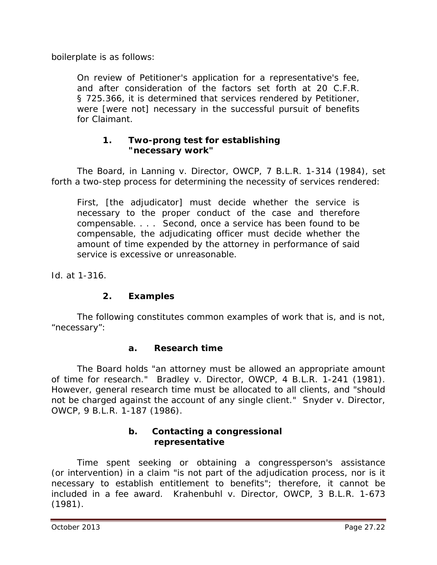boilerplate is as follows:

On review of Petitioner's application for a representative's fee, and after consideration of the factors set forth at 20 C.F.R. § 725.366, it is determined that services rendered by Petitioner, were [were not] necessary in the successful pursuit of benefits for Claimant.

#### **1. Two-prong test for establishing "necessary work"**

The Board, in *Lanning v. Director, OWCP*, 7 B.L.R. 1-314 (1984), set forth a two-step process for determining the necessity of services rendered:

First, [the adjudicator] must decide whether the service is necessary to the proper conduct of the case and therefore compensable. . . . Second, once a service has been found to be compensable, the adjudicating officer must decide whether the amount of time expended by the attorney in performance of said service is excessive or unreasonable.

*Id.* at 1-316.

## **2. Examples**

The following constitutes common examples of work that is, and is not, "necessary":

#### **a. Research time**

The Board holds "an attorney must be allowed an appropriate amount of time for research." *Bradley v. Director, OWCP*, 4 B.L.R. 1-241 (1981). However, general research time must be allocated to all clients, and "should not be charged against the account of any single client." *Snyder v. Director, OWCP,* 9 B.L.R. 1-187 (1986).

#### **b. Contacting a congressional representative**

Time spent seeking or obtaining a congressperson's assistance (or intervention) in a claim "is not part of the adjudication process, nor is it necessary to establish entitlement to benefits"; therefore, it cannot be included in a fee award. *Krahenbuhl v. Director, OWCP*, 3 B.L.R. 1-673 (1981).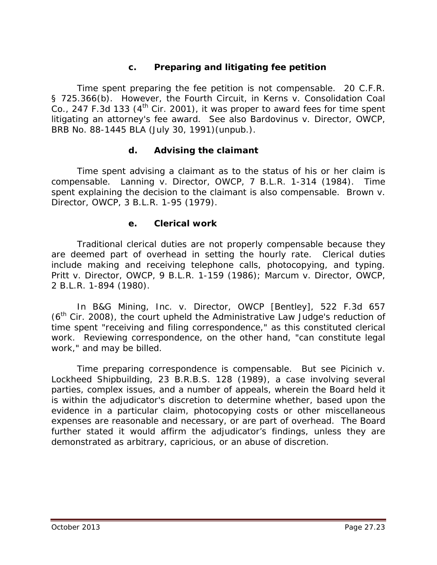## **c. Preparing and litigating fee petition**

Time spent *preparing* the fee petition is not compensable. 20 C.F.R. § 725.366(b). However, the Fourth Circuit, in *Kerns v. Consolidation Coal Co.*, 247 F.3d 133 ( $4<sup>th</sup>$  Cir. 2001), it was proper to award fees for time spent *litigating* an attorney's fee award. *See also Bardovinus v. Director, OWCP*, BRB No. 88-1445 BLA (July 30, 1991)(unpub.).

#### **d. Advising the claimant**

Time spent advising a claimant as to the status of his or her claim is compensable. *Lanning v. Director, OWCP*, 7 B.L.R. 1-314 (1984). Time spent explaining the decision to the claimant is also compensable. *Brown v. Director, OWCP*, 3 B.L.R. 1-95 (1979).

#### **e. Clerical work**

Traditional clerical duties are not properly compensable because they are deemed part of overhead in setting the hourly rate. Clerical duties include making and receiving telephone calls, photocopying, and typing. *Pritt v. Director, OWCP*, 9 B.L.R. 1-159 (1986); *Marcum v. Director, OWCP*, 2 B.L.R. 1-894 (1980).

In *B&G Mining, Inc. v. Director, OWCP [Bentley]*, 522 F.3d 657  $(6<sup>th</sup>$  Cir. 2008), the court upheld the Administrative Law Judge's reduction of time spent "receiving and filing correspondence," as this constituted clerical work. Reviewing correspondence, on the other hand, "can constitute legal work," and may be billed.

Time preparing correspondence is compensable. *But see Picinich v. Lockheed Shipbuilding*, 23 B.R.B.S. 128 (1989), a case involving several parties, complex issues, and a number of appeals, wherein the Board held it is within the adjudicator's discretion to determine whether, based upon the evidence in a particular claim, photocopying costs or other miscellaneous expenses are reasonable and necessary, or are part of overhead. The Board further stated it would affirm the adjudicator's findings, unless they are demonstrated as arbitrary, capricious, or an abuse of discretion.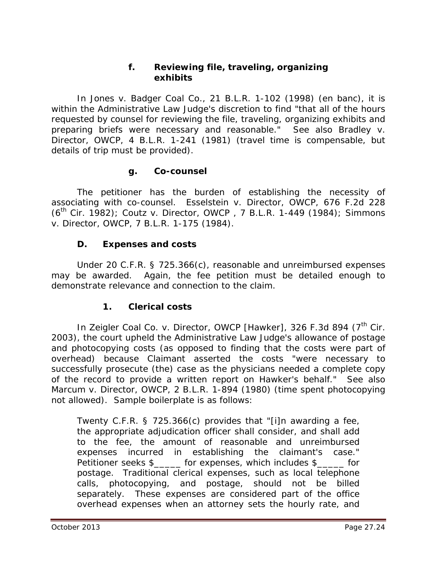#### **f. Reviewing file, traveling, organizing exhibits**

In *Jones v. Badger Coal Co.*, 21 B.L.R. 1-102 (1998) (*en banc*), it is within the Administrative Law Judge's discretion to find "that all of the hours requested by counsel for reviewing the file, traveling, organizing exhibits and preparing briefs were necessary and reasonable." *See also Bradley v. Director, OWCP*, 4 B.L.R. 1-241 (1981) (travel time is compensable, but details of trip must be provided).

#### **g. Co-counsel**

The petitioner has the burden of establishing the necessity of associating with co-counsel. *Esselstein v. Director, OWCP,* 676 F.2d 228 (6th Cir. 1982); *Coutz v. Director, OWCP* , 7 B.L.R. 1-449 (1984); *Simmons v. Director, OWCP*, 7 B.L.R. 1-175 (1984).

#### **D. Expenses and costs**

Under 20 C.F.R. § 725.366(c), reasonable and unreimbursed expenses may be awarded. Again, the fee petition must be detailed enough to demonstrate relevance and connection to the claim.

#### **1. Clerical costs**

In *Zeigler Coal Co. v. Director, OWCP [Hawker]*, 326 F.3d 894 (7<sup>th</sup> Cir. 2003), the court upheld the Administrative Law Judge's allowance of postage and photocopying costs (as opposed to finding that the costs were part of overhead) because Claimant asserted the costs "were necessary to successfully prosecute (the) case as the physicians needed a complete copy of the record to provide a written report on Hawker's behalf." *See also Marcum v. Director, OWCP*, 2 B.L.R. 1-894 (1980) (time spent photocopying not allowed). Sample boilerplate is as follows:

Twenty C.F.R. § 725.366(c) provides that "[i]n awarding a fee, the appropriate adjudication officer shall consider, and shall add to the fee, the amount of reasonable and unreimbursed expenses incurred in establishing the claimant's case." Petitioner seeks \$\_\_\_\_\_ for expenses, which includes \$\_\_\_\_\_ for postage. Traditional clerical expenses, such as local telephone calls, photocopying, and postage, should not be billed separately. These expenses are considered part of the office overhead expenses when an attorney sets the hourly rate, and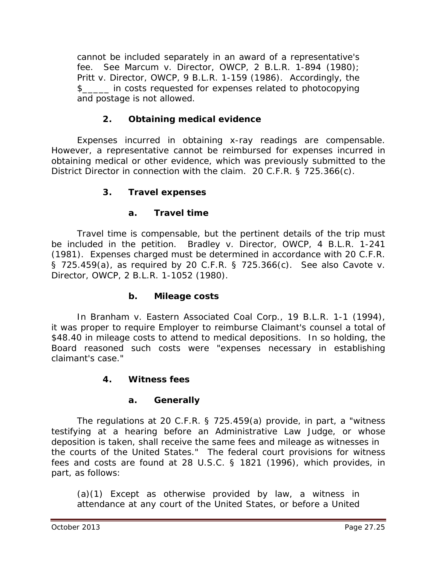cannot be included separately in an award of a representative's fee. *See Marcum v. Director, OWCP*, 2 B.L.R. 1-894 (1980); *Pritt v. Director, OWCP*, 9 B.L.R. 1-159 (1986). Accordingly, the \$\_\_\_\_\_ in costs requested for expenses related to photocopying and postage is not allowed.

## **2. Obtaining medical evidence**

Expenses incurred in obtaining x-ray readings are compensable. However, a representative cannot be reimbursed for expenses incurred in obtaining medical or other evidence, which was previously submitted to the District Director in connection with the claim. 20 C.F.R. § 725.366(c).

#### **3. Travel expenses**

#### **a. Travel time**

Travel time is compensable, but the pertinent details of the trip must be included in the petition. *Bradley v. Director, OWCP*, 4 B.L.R. 1-241 (1981). Expenses charged must be determined in accordance with 20 C.F.R. § 725.459(a), as required by 20 C.F.R. § 725.366(c). *See also Cavote v. Director, OWCP*, 2 B.L.R. 1-1052 (1980).

#### **b. Mileage costs**

In *Branham v. Eastern Associated Coal Corp.*, 19 B.L.R. 1-1 (1994), it was proper to require Employer to reimburse Claimant's counsel a total of \$48.40 in mileage costs to attend to medical depositions. In so holding, the Board reasoned such costs were "expenses necessary in establishing claimant's case."

#### **4. Witness fees**

#### **a. Generally**

The regulations at 20 C.F.R. § 725.459(a) provide, in part, a "witness testifying at a hearing before an Administrative Law Judge, or whose deposition is taken, shall receive the same fees and mileage as witnesses in the courts of the United States." The federal court provisions for witness fees and costs are found at 28 U.S.C. § 1821 (1996), which provides, in part, as follows:

(a)(1) Except as otherwise provided by law, a witness in attendance at any court of the United States, or before a United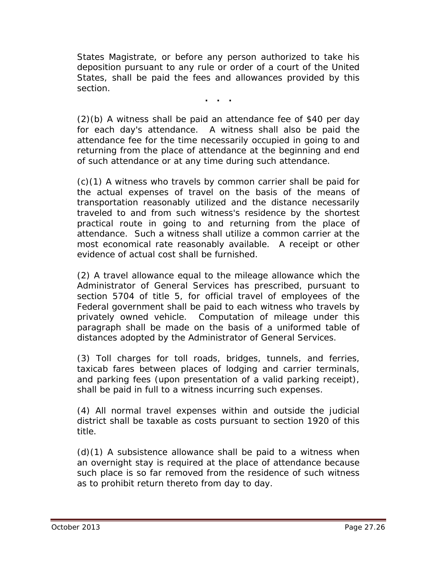States Magistrate, or before any person authorized to take his deposition pursuant to any rule or order of a court of the United States, shall be paid the fees and allowances provided by this section.

**. . .**

(2)(b) A witness shall be paid an attendance fee of \$40 per day for each day's attendance. A witness shall also be paid the attendance fee for the time necessarily occupied in going to and returning from the place of attendance at the beginning and end of such attendance or at any time during such attendance.

(c)(1) A witness who travels by common carrier shall be paid for the actual expenses of travel on the basis of the means of transportation reasonably utilized and the distance necessarily traveled to and from such witness's residence by the shortest practical route in going to and returning from the place of attendance. Such a witness shall utilize a common carrier at the most economical rate reasonably available. A receipt or other evidence of actual cost shall be furnished.

(2) A travel allowance equal to the mileage allowance which the Administrator of General Services has prescribed, pursuant to section 5704 of title 5, for official travel of employees of the Federal government shall be paid to each witness who travels by privately owned vehicle. Computation of mileage under this paragraph shall be made on the basis of a uniformed table of distances adopted by the Administrator of General Services.

(3) Toll charges for toll roads, bridges, tunnels, and ferries, taxicab fares between places of lodging and carrier terminals, and parking fees (upon presentation of a valid parking receipt), shall be paid in full to a witness incurring such expenses.

(4) All normal travel expenses within and outside the judicial district shall be taxable as costs pursuant to section 1920 of this title.

 $(d)(1)$  A subsistence allowance shall be paid to a witness when an overnight stay is required at the place of attendance because such place is so far removed from the residence of such witness as to prohibit return thereto from day to day.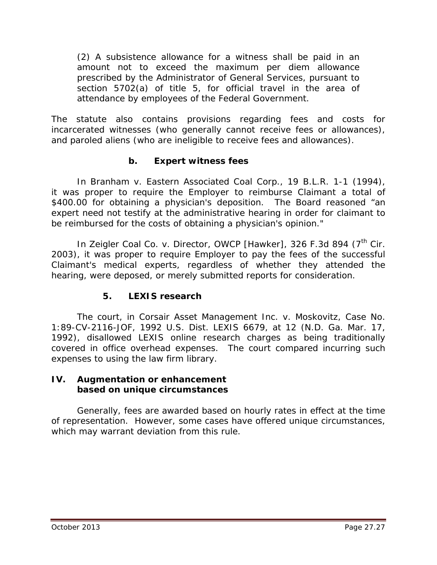(2) A subsistence allowance for a witness shall be paid in an amount not to exceed the maximum per diem allowance prescribed by the Administrator of General Services, pursuant to section 5702(a) of title 5, for official travel in the area of attendance by employees of the Federal Government.

The statute also contains provisions regarding fees and costs for incarcerated witnesses (who generally cannot receive fees or allowances), and paroled aliens (who are ineligible to receive fees and allowances).

## **b. Expert witness fees**

In *Branham v. Eastern Associated Coal Corp.*, 19 B.L.R. 1-1 (1994), it was proper to require the Employer to reimburse Claimant a total of \$400.00 for obtaining a physician's deposition. The Board reasoned "an expert need not testify at the administrative hearing in order for claimant to be reimbursed for the costs of obtaining a physician's opinion."

In *Zeigler Coal Co. v. Director, OWCP [Hawker]*, 326 F.3d 894 (7<sup>th</sup> Cir. 2003), it was proper to require Employer to pay the fees of the successful Claimant's medical experts, regardless of whether they attended the hearing, were deposed, or merely submitted reports for consideration.

#### **5. LEXIS research**

The court, in *Corsair Asset Management Inc. v. Moskovitz*, Case No. 1:89-CV-2116-JOF, 1992 U.S. Dist. LEXIS 6679, at 12 (N.D. Ga. Mar. 17, 1992), disallowed LEXIS online research charges as being traditionally covered in office overhead expenses. The court compared incurring such expenses to using the law firm library.

#### **IV. Augmentation or enhancement based on unique circumstances**

Generally, fees are awarded based on hourly rates in effect at the time of representation. However, some cases have offered unique circumstances, which may warrant deviation from this rule.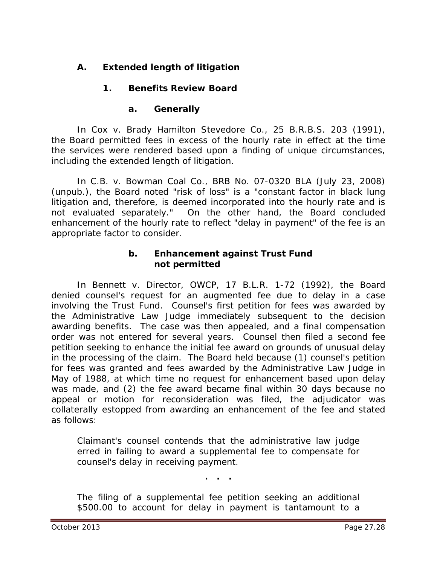# **A. Extended length of litigation**

# **1. Benefits Review Board**

## **a. Generally**

In *Cox v. Brady Hamilton Stevedore Co.*, 25 B.R.B.S. 203 (1991), the Board permitted fees in excess of the hourly rate in effect at the time the services were rendered based upon a finding of unique circumstances, including the extended length of litigation.

 In *C.B. v. Bowman Coal Co.*, BRB No. 07-0320 BLA (July 23, 2008) (unpub.), the Board noted "risk of loss" is a "constant factor in black lung litigation and, therefore, is deemed incorporated into the hourly rate and is not evaluated separately." On the other hand, the Board concluded enhancement of the hourly rate to reflect "delay in payment" of the fee is an appropriate factor to consider.

#### **b. Enhancement against Trust Fund not permitted**

In *Bennett v. Director, OWCP*, 17 B.L.R. 1-72 (1992), the Board denied counsel's request for an augmented fee due to delay in a case involving the Trust Fund. Counsel's first petition for fees was awarded by the Administrative Law Judge immediately subsequent to the decision awarding benefits. The case was then appealed, and a final compensation order was not entered for several years. Counsel then filed a second fee petition seeking to enhance the initial fee award on grounds of unusual delay in the processing of the claim. The Board held because (1) counsel's petition for fees was granted and fees awarded by the Administrative Law Judge in May of 1988, at which time no request for enhancement based upon delay was made, and (2) the fee award became final within 30 days because no appeal or motion for reconsideration was filed, the adjudicator was collaterally estopped from awarding an enhancement of the fee and stated as follows:

Claimant's counsel contends that the administrative law judge erred in failing to award a supplemental fee to compensate for counsel's delay in receiving payment.

**. . .**

The filing of a supplemental fee petition seeking an additional \$500.00 to account for delay in payment is tantamount to a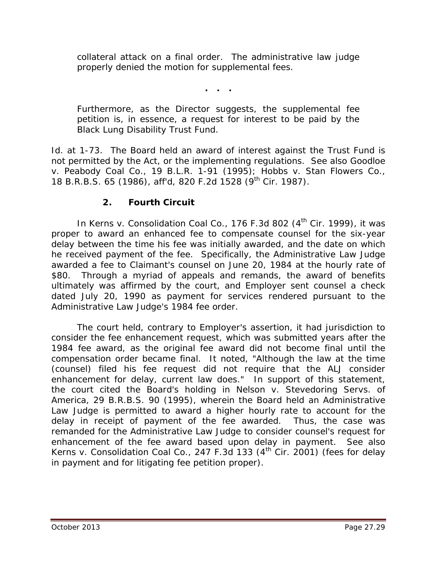collateral attack on a final order. The administrative law judge properly denied the motion for supplemental fees.

**. . .**

Furthermore, as the Director suggests, the supplemental fee petition is, in essence, a request for interest to be paid by the Black Lung Disability Trust Fund.

*Id.* at 1-73. The Board held an award of interest against the Trust Fund is not permitted by the Act, or the implementing regulations. *See also Goodloe v. Peabody Coal* Co., 19 B.L.R. 1-91 (1995); *Hobbs v. Stan Flowers Co.*, 18 B.R.B.S. 65 (1986), *aff'd*, 820 F.2d 1528 (9th Cir. 1987).

#### **2. Fourth Circuit**

In *Kerns v. Consolidation Coal Co.*, 176 F.3d 802 (4<sup>th</sup> Cir. 1999), it was proper to award an enhanced fee to compensate counsel for the six-year delay between the time his fee was initially awarded, and the date on which he received payment of the fee. Specifically, the Administrative Law Judge awarded a fee to Claimant's counsel on June 20, 1984 at the hourly rate of \$80. Through a myriad of appeals and remands, the award of benefits ultimately was affirmed by the court, and Employer sent counsel a check dated July 20, 1990 as payment for services rendered pursuant to the Administrative Law Judge's 1984 fee order.

The court held, contrary to Employer's assertion, it had jurisdiction to consider the fee enhancement request, which was submitted years after the 1984 fee award, as the original fee award did not become final until the compensation order became final. It noted, "Although the law at the time (counsel) filed his fee request did not require that the ALJ consider enhancement for delay, current law does." In support of this statement, the court cited the Board's holding in *Nelson v. Stevedoring Servs. of America*, 29 B.R.B.S. 90 (1995), wherein the Board held an Administrative Law Judge is permitted to award a higher hourly rate to account for the delay in receipt of payment of the fee awarded. Thus, the case was remanded for the Administrative Law Judge to consider counsel's request for enhancement of the fee award based upon delay in payment. *See also Kerns v. Consolidation Coal Co.*, 247 F.3d 133 (4<sup>th</sup> Cir. 2001) (fees for delay in payment and for litigating fee petition proper).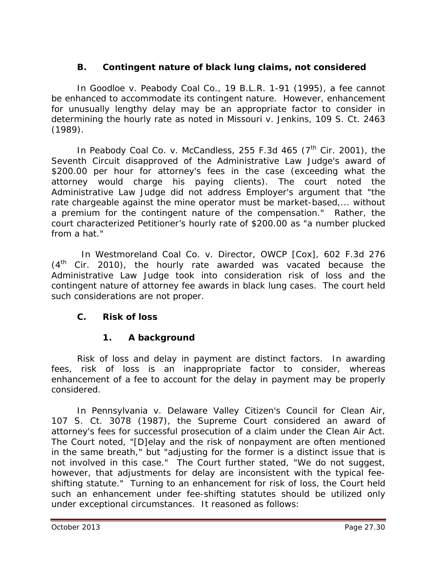## **B. Contingent nature of black lung claims, not considered**

In *Goodloe v. Peabody Coal Co.*, 19 B.L.R. 1-91 (1995), a fee cannot be enhanced to accommodate its contingent nature. However, enhancement for unusually lengthy delay may be an appropriate factor to consider in determining the hourly rate as noted in *Missouri v. Jenkins*, 109 S. Ct. 2463 (1989).

In *Peabody Coal Co. v. McCandless*, 255 F.3d 465 (7<sup>th</sup> Cir. 2001), the Seventh Circuit disapproved of the Administrative Law Judge's award of \$200.00 per hour for attorney's fees in the case (exceeding what the attorney would charge his paying clients). The court noted the Administrative Law Judge did not address Employer's argument that "the rate chargeable against the mine operator must be market-based,... without a premium for the contingent nature of the compensation." Rather, the court characterized Petitioner's hourly rate of \$200.00 as "a number plucked from a hat."

 In *Westmoreland Coal Co. v. Director, OWCP [Cox]*, 602 F.3d 276  $(4<sup>th</sup>$  Cir. 2010), the hourly rate awarded was vacated because the Administrative Law Judge took into consideration risk of loss and the contingent nature of attorney fee awards in black lung cases. The court held such considerations are not proper.

## **C. Risk of loss**

## **1. A background**

Risk of loss and delay in payment are distinct factors. In awarding fees, risk of loss is an inappropriate factor to consider, whereas enhancement of a fee to account for the delay in payment may be properly considered.

In *Pennsylvania v. Delaware Valley Citizen's Council for Clean Air*, 107 S. Ct. 3078 (1987), the Supreme Court considered an award of attorney's fees for successful prosecution of a claim under the Clean Air Act. The Court noted, "[D]elay and the risk of nonpayment are often mentioned in the same breath," but "adjusting for the former is a distinct issue that is not involved in this case." The Court further stated, "We do not suggest, however, that adjustments for delay are inconsistent with the typical feeshifting statute." Turning to an enhancement for risk of loss, the Court held such an enhancement under fee-shifting statutes should be utilized only under exceptional circumstances. It reasoned as follows: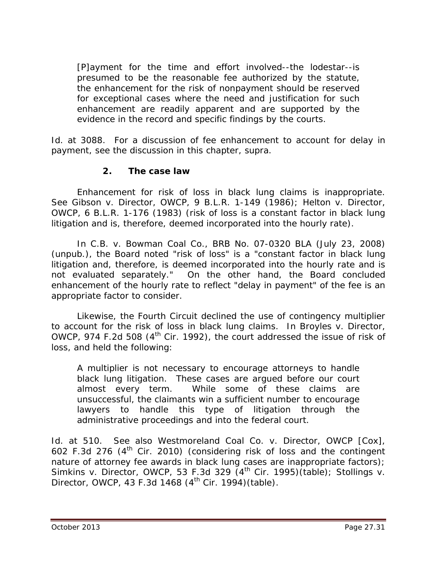[P]ayment for the time and effort involved--the lodestar--is presumed to be the reasonable fee authorized by the statute, the enhancement for the risk of nonpayment should be reserved for exceptional cases where the need and justification for such enhancement are readily apparent and are supported by the evidence in the record and specific findings by the courts.

Id. at 3088. For a discussion of fee enhancement to account for delay in payment, see the discussion in this chapter, *supra*.

#### **2. The case law**

Enhancement for risk of loss in black lung claims is inappropriate. *See Gibson v. Director, OWCP*, 9 B.L.R. 1-149 (1986); *Helton v. Director, OWCP*, 6 B.L.R. 1-176 (1983) (risk of loss is a constant factor in black lung litigation and is, therefore, deemed incorporated into the hourly rate).

 In *C.B. v. Bowman Coal Co.*, BRB No. 07-0320 BLA (July 23, 2008) (unpub.), the Board noted "risk of loss" is a "constant factor in black lung litigation and, therefore, is deemed incorporated into the hourly rate and is not evaluated separately." On the other hand, the Board concluded enhancement of the hourly rate to reflect "delay in payment" of the fee is an appropriate factor to consider.

Likewise, the Fourth Circuit declined the use of contingency multiplier to account for the risk of loss in black lung claims. In *Broyles v. Director, OWCP*, 974 F.2d 508 (4<sup>th</sup> Cir. 1992), the court addressed the issue of risk of loss, and held the following:

A multiplier is not necessary to encourage attorneys to handle black lung litigation. These cases are argued before our court almost every term. While some of these claims are unsuccessful, the claimants win a sufficient number to encourage lawyers to handle this type of litigation through the administrative proceedings and into the federal court.

*Id.* at 510. *See also Westmoreland Coal Co. v. Director, OWCP [Cox]*, 602 F.3d 276  $(4<sup>th</sup>$  Cir. 2010) (considering risk of loss and the contingent nature of attorney fee awards in black lung cases are inappropriate factors); *Simkins v. Director, OWCP*, 53 F.3d 329 (4th Cir. 1995)(table); *Stollings v. Director, OWCP*, 43 F.3d 1468 (4<sup>th</sup> Cir. 1994)(table).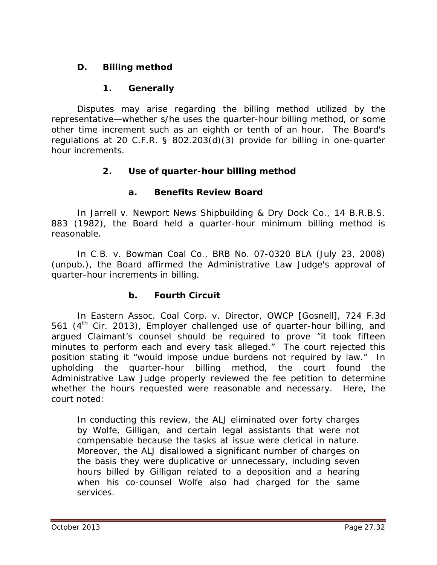## **D. Billing method**

## **1. Generally**

Disputes may arise regarding the billing method utilized by the representative—whether s/he uses the quarter-hour billing method, or some other time increment such as an eighth or tenth of an hour. The Board's regulations at 20 C.F.R. § 802.203(d)(3) provide for billing in one-quarter hour increments.

## **2. Use of quarter-hour billing method**

## **a. Benefits Review Board**

In *Jarrell v. Newport News Shipbuilding & Dry Dock Co.*, 14 B.R.B.S. 883 (1982), the Board held a quarter-hour minimum billing method is reasonable.

 In *C.B. v. Bowman Coal Co.*, BRB No. 07-0320 BLA (July 23, 2008) (unpub.), the Board affirmed the Administrative Law Judge's approval of quarter-hour increments in billing.

## **b. Fourth Circuit**

In *Eastern Assoc. Coal Corp. v. Director, OWCP [Gosnell]*, 724 F.3d 561 ( $4<sup>th</sup>$  Cir. 2013), Employer challenged use of quarter-hour billing, and argued Claimant's counsel should be required to prove "it took fifteen minutes to perform each and every task alleged." The court rejected this position stating it "would impose undue burdens not required by law." In upholding the quarter-hour billing method, the court found the Administrative Law Judge properly reviewed the fee petition to determine whether the hours requested were reasonable and necessary. Here, the court noted:

In conducting this review, the ALJ eliminated over forty charges by Wolfe, Gilligan, and certain legal assistants that were not compensable because the tasks at issue were clerical in nature. Moreover, the ALJ disallowed a significant number of charges on the basis they were duplicative or unnecessary, including seven hours billed by Gilligan related to a deposition and a hearing when his co-counsel Wolfe also had charged for the same services.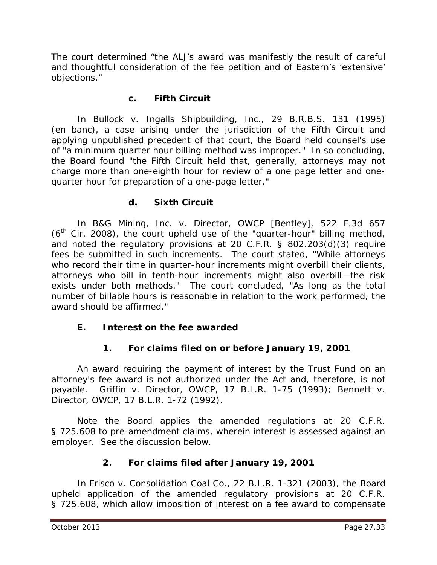The court determined "the ALJ's award was manifestly the result of careful and thoughtful consideration of the fee petition and of Eastern's 'extensive' objections."

#### **c. Fifth Circuit**

In *Bullock v. Ingalls Shipbuilding, Inc.*, 29 B.R.B.S. 131 (1995) (en banc), a case arising under the jurisdiction of the Fifth Circuit and applying unpublished precedent of that court, the Board held counsel's use of "a minimum quarter hour billing method was improper." In so concluding, the Board found "the Fifth Circuit held that, generally, attorneys may not charge more than one-eighth hour for review of a one page letter and onequarter hour for preparation of a one-page letter."

#### **d. Sixth Circuit**

In *B&G Mining, Inc. v. Director, OWCP [Bentley]*, 522 F.3d 657  $(6<sup>th</sup>$  Cir. 2008), the court upheld use of the "quarter-hour" billing method, and noted the regulatory provisions at 20 C.F.R. § 802.203(d)(3) require fees be submitted in such increments. The court stated, "While attorneys who record their time in quarter-hour increments might overbill their clients, attorneys who bill in tenth-hour increments might also overbill—the risk exists under both methods." The court concluded, "As long as the total number of billable hours is reasonable in relation to the work performed, the award should be affirmed."

## **E. Interest on the fee awarded**

## **1. For claims filed on or before January 19, 2001**

An award requiring the payment of interest by the Trust Fund on an attorney's fee award is not authorized under the Act and, therefore, is not payable. *Griffin v. Director, OWCP*, 17 B.L.R. 1-75 (1993); *Bennett v. Director, OWCP*, 17 B.L.R. 1-72 (1992).

Note the Board applies the amended regulations at 20 C.F.R. § 725.608 to pre-amendment claims, wherein interest is assessed against an employer. See the discussion below.

## **2. For claims filed after January 19, 2001**

In *Frisco v. Consolidation Coal Co.*, 22 B.L.R. 1-321 (2003), the Board upheld application of the amended regulatory provisions at 20 C.F.R. § 725.608, which allow imposition of interest on a fee award to compensate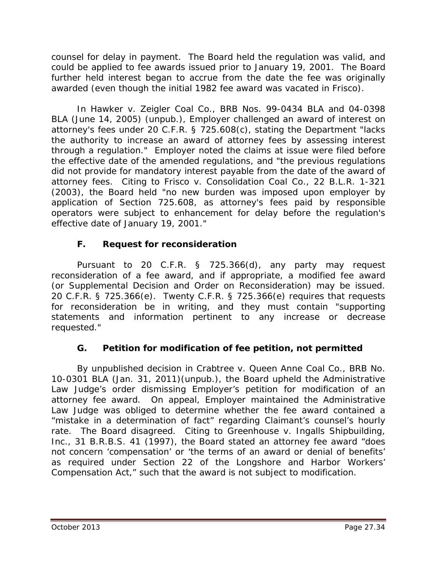counsel for delay in payment. The Board held the regulation was valid, and could be applied to fee awards issued prior to January 19, 2001. The Board further held interest began to accrue from the date the fee was originally awarded (even though the initial 1982 fee award was vacated in *Frisco*).

In *Hawker v. Zeigler Coal Co.*, BRB Nos. 99-0434 BLA and 04-0398 BLA (June 14, 2005) (unpub.), Employer challenged an award of interest on attorney's fees under 20 C.F.R. § 725.608(c), stating the Department "lacks the authority to increase an award of attorney fees by assessing interest through a regulation." Employer noted the claims at issue were filed before the effective date of the amended regulations, and "the previous regulations did not provide for mandatory interest payable from the date of the award of attorney fees. Citing to *Frisco v. Consolidation Coal Co.*, 22 B.L.R. 1-321 (2003), the Board held "no new burden was imposed upon employer by application of Section 725.608, as attorney's fees paid by responsible operators were subject to enhancement for delay before the regulation's effective date of January 19, 2001."

## **F. Request for reconsideration**

Pursuant to 20 C.F.R. § 725.366(d), any party may request reconsideration of a fee award, and if appropriate, a modified fee award (or Supplemental Decision and Order on Reconsideration) may be issued. 20 C.F.R. § 725.366(e). Twenty C.F.R. § 725.366(e) requires that requests for reconsideration be in writing, and they must contain "supporting statements and information pertinent to any increase or decrease requested."

## **G. Petition for modification of fee petition, not permitted**

By unpublished decision in *Crabtree v. Queen Anne Coal Co.*, BRB No. 10-0301 BLA (Jan. 31, 2011)(unpub.), the Board upheld the Administrative Law Judge's order dismissing Employer's petition for modification of an attorney fee award. On appeal, Employer maintained the Administrative Law Judge was obliged to determine whether the fee award contained a "mistake in a determination of fact" regarding Claimant's counsel's hourly rate. The Board disagreed. Citing to *Greenhouse v. Ingalls Shipbuilding, Inc.*, 31 B.R.B.S. 41 (1997), the Board stated an attorney fee award "does not concern 'compensation' or 'the terms of an award or denial of benefits' as required under Section 22 of the Longshore and Harbor Workers' Compensation Act," such that the award is not subject to modification.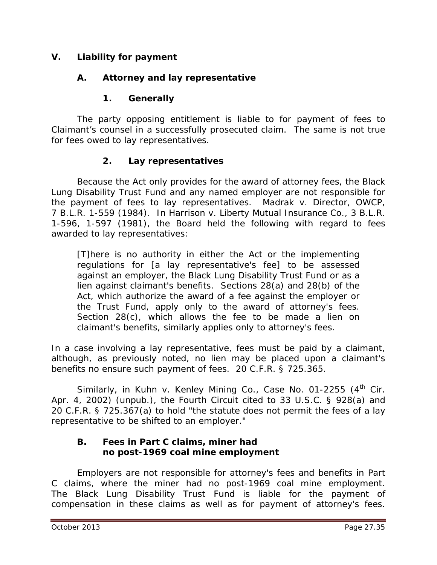#### **V. Liability for payment**

#### **A. Attorney and lay representative**

#### **1. Generally**

The party opposing entitlement is liable to for payment of fees to Claimant's counsel in a successfully prosecuted claim. The same is not true for fees owed to lay representatives.

#### **2. Lay representatives**

Because the Act only provides for the award of attorney fees, the Black Lung Disability Trust Fund and any named employer are not responsible for the payment of fees to lay representatives. *Madrak v. Director, OWCP*, 7 B.L.R. 1-559 (1984). In *Harrison v. Liberty Mutual Insurance Co.*, 3 B.L.R. 1-596, 1-597 (1981), the Board held the following with regard to fees awarded to lay representatives:

[T]here is no authority in either the Act or the implementing regulations for [a lay representative's fee] to be assessed against an employer, the Black Lung Disability Trust Fund or as a lien against claimant's benefits. Sections 28(a) and 28(b) of the Act, which authorize the award of a fee against the employer or the Trust Fund, apply only to the award of attorney's fees. Section 28(c), which allows the fee to be made a lien on claimant's benefits, similarly applies only to attorney's fees.

In a case involving a lay representative, fees must be paid by a claimant, although, as previously noted, no lien may be placed upon a claimant's benefits no ensure such payment of fees. 20 C.F.R. § 725.365.

Similarly, in *Kuhn v. Kenley Mining Co.*, Case No. 01-2255 (4<sup>th</sup> Cir. Apr. 4, 2002) (unpub.), the Fourth Circuit cited to 33 U.S.C. § 928(a) and 20 C.F.R. § 725.367(a) to hold "the statute does not permit the fees of a lay representative to be shifted to an employer."

#### **B. Fees in Part C claims, miner had no post-1969 coal mine employment**

Employers are not responsible for attorney's fees and benefits in Part C claims, where the miner had no post-1969 coal mine employment. The Black Lung Disability Trust Fund is liable for the payment of compensation in these claims as well as for payment of attorney's fees.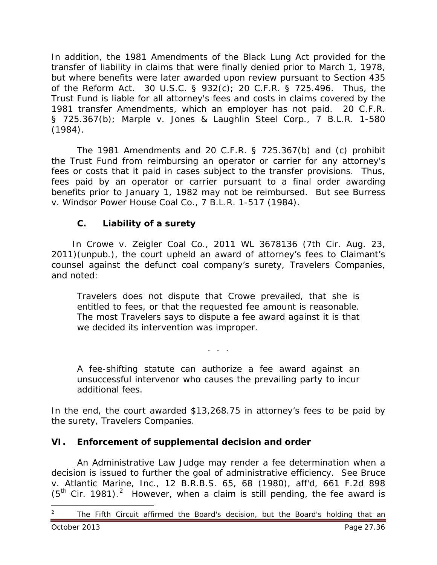In addition, the 1981 Amendments of the Black Lung Act provided for the transfer of liability in claims that were finally denied prior to March 1, 1978, but where benefits were later awarded upon review pursuant to Section 435 of the Reform Act. 30 U.S.C. § 932(c); 20 C.F.R. § 725.496. Thus, the Trust Fund is liable for all attorney's fees and costs in claims covered by the 1981 transfer Amendments, which an employer has not paid. 20 C.F.R. § 725.367(b); *Marple v. Jones & Laughlin Steel Corp.*, 7 B.L.R. 1-580 (1984).

The 1981 Amendments and 20 C.F.R. § 725.367(b) and (c) prohibit the Trust Fund from reimbursing an operator or carrier for any attorney's fees or costs that it paid in cases subject to the transfer provisions. Thus, fees paid by an operator or carrier pursuant to a final order awarding benefits prior to January 1, 1982 may not be reimbursed. *But see Burress v. Windsor Power House Coal Co.*, 7 B.L.R. 1-517 (1984).

## **C. Liability of a surety**

 In *Crowe v. Zeigler Coal Co.*, 2011 WL 3678136 (7th Cir. Aug. 23, 2011)(unpub.), the court upheld an award of attorney's fees to Claimant's counsel against the defunct coal company's surety, Travelers Companies, and noted:

Travelers does not dispute that Crowe prevailed, that she is entitled to fees, or that the requested fee amount is reasonable. The most Travelers says to dispute a fee award against it is that we decided its intervention was improper.

A fee-shifting statute can authorize a fee award against an unsuccessful intervenor who causes the prevailing party to incur additional fees.

. . .

In the end, the court awarded \$13,268.75 in attorney's fees to be paid by the surety, Travelers Companies.

## **VI. Enforcement of supplemental decision and order**

An Administrative Law Judge may render a fee determination when a decision is issued to further the goal of administrative efficiency. *See Bruce v. Atlantic Marine, Inc.*, 12 B.R.B.S. 65, 68 (1980), *aff'd*, 661 F.2d 898  $(5<sup>th</sup>$  Cir. 1981).<sup>[2](#page-35-0)</sup> However, when a claim is still pending, the fee award is

<span id="page-35-0"></span><sup>2</sup> The Fifth Circuit affirmed the Board's decision, but the Board's holding that an October 2013 Page 27.36  $\overline{a}$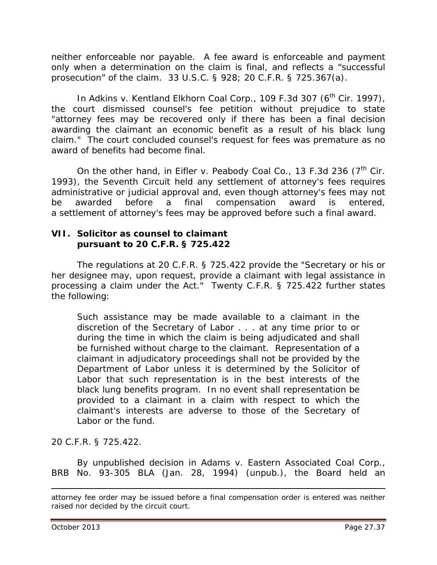neither enforceable nor payable. A fee award is enforceable and payment only when a determination on the claim is final, and reflects a "successful prosecution" of the claim. 33 U.S.C. § 928; 20 C.F.R. § 725.367(a).

In *Adkins v. Kentland Elkhorn Coal Corp.*, 109 F.3d 307 (6<sup>th</sup> Cir. 1997), the court dismissed counsel's fee petition without prejudice to state "attorney fees may be recovered only if there has been a final decision awarding the claimant an economic benefit as a result of his black lung claim." The court concluded counsel's request for fees was premature as no award of benefits had become final.

On the other hand, in *Eifler v. Peabody Coal Co.*, 13 F.3d 236 (7<sup>th</sup> Cir. 1993), the Seventh Circuit held any settlement of attorney's fees requires administrative or judicial approval and, even though attorney's fees may not be awarded before a final compensation award is entered, a *settlement* of attorney's fees may be approved before such a final award.

#### **VII. Solicitor as counsel to claimant pursuant to 20 C.F.R. § 725.422**

The regulations at 20 C.F.R. § 725.422 provide the "Secretary or his or her designee may, upon request, provide a claimant with legal assistance in processing a claim under the Act." Twenty C.F.R. § 725.422 further states the following:

Such assistance may be made available to a claimant in the discretion of the Secretary of Labor . . . at any time prior to or during the time in which the claim is being adjudicated and shall be furnished without charge to the claimant. Representation of a claimant in adjudicatory proceedings shall not be provided by the Department of Labor unless it is determined by the Solicitor of Labor that such representation is in the best interests of the black lung benefits program. In no event shall representation be provided to a claimant in a claim with respect to which the claimant's interests are adverse to those of the Secretary of Labor or the fund.

20 C.F.R. § 725.422.

By unpublished decision in *Adams v. Eastern Associated Coal Corp.*, BRB No. 93-305 BLA (Jan. 28, 1994) (unpub.), the Board held an

 $\overline{a}$ 

attorney fee order may be issued before a final compensation order is entered was neither raised nor decided by the circuit court.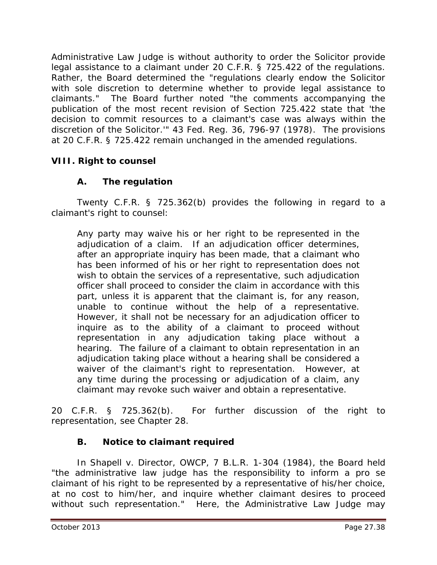Administrative Law Judge is without authority to order the Solicitor provide legal assistance to a claimant under 20 C.F.R. § 725.422 of the regulations. Rather, the Board determined the "regulations clearly endow the Solicitor with sole discretion to determine whether to provide legal assistance to claimants." The Board further noted "the comments accompanying the publication of the most recent revision of Section 725.422 state that 'the decision to commit resources to a claimant's case was always within the discretion of the Solicitor.'" 43 Fed. Reg. 36, 796-97 (1978). The provisions at 20 C.F.R. § 725.422 remain unchanged in the amended regulations.

## **VIII. Right to counsel**

# **A. The regulation**

Twenty C.F.R. § 725.362(b) provides the following in regard to a claimant's right to counsel:

Any party may waive his or her right to be represented in the adjudication of a claim. If an adjudication officer determines, after an appropriate inquiry has been made, that a claimant who has been informed of his or her right to representation does not wish to obtain the services of a representative, such adjudication officer shall proceed to consider the claim in accordance with this part, unless it is apparent that the claimant is, for any reason, unable to continue without the help of a representative. However, it shall not be necessary for an adjudication officer to inquire as to the ability of a claimant to proceed without representation in any adjudication taking place without a hearing. The failure of a claimant to obtain representation in an adjudication taking place without a hearing shall be considered a waiver of the claimant's right to representation. However, at any time during the processing or adjudication of a claim, any claimant may revoke such waiver and obtain a representative.

20 C.F.R. § 725.362(b). For further discussion of the right to representation, *see* Chapter 28.

# **B. Notice to claimant required**

In *Shapell v. Director, OWCP*, 7 B.L.R. 1-304 (1984), the Board held "the administrative law judge has the responsibility to inform a *pro se* claimant of his right to be represented by a representative of his/her choice, at no cost to him/her, and inquire whether claimant desires to proceed without such representation." Here, the Administrative Law Judge may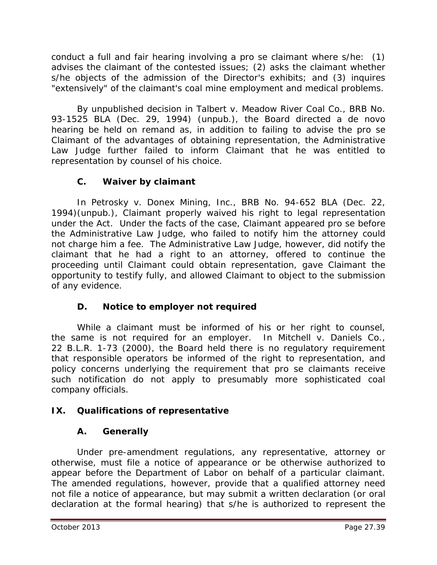conduct a full and fair hearing involving a *pro se* claimant where s/he: (1) advises the claimant of the contested issues; (2) asks the claimant whether s/he objects of the admission of the Director's exhibits; and (3) inquires "extensively" of the claimant's coal mine employment and medical problems.

By unpublished decision in *Talbert v. Meadow River Coal Co.*, BRB No. 93-1525 BLA (Dec. 29, 1994) (unpub.), the Board directed a *de novo* hearing be held on remand as, in addition to failing to advise the *pro se* Claimant of the advantages of obtaining representation, the Administrative Law Judge further failed to inform Claimant that he was entitled to representation by counsel of his choice.

## **C. Waiver by claimant**

In *Petrosky v. Donex Mining, Inc.*, BRB No. 94-652 BLA (Dec. 22, 1994)(unpub.), Claimant properly waived his right to legal representation under the Act. Under the facts of the case, Claimant appeared *pro se* before the Administrative Law Judge, who failed to notify him the attorney could not charge him a fee. The Administrative Law Judge, however, did notify the claimant that he had a right to an attorney, offered to continue the proceeding until Claimant could obtain representation, gave Claimant the opportunity to testify fully, and allowed Claimant to object to the submission of any evidence.

## **D. Notice to employer not required**

While a claimant must be informed of his or her right to counsel, the same is not required for an employer. In *Mitchell v. Daniels Co.*, 22 B.L.R. 1-73 (2000), the Board held there is no regulatory requirement that responsible operators be informed of the right to representation, and policy concerns underlying the requirement that *pro se* claimants receive such notification do not apply to presumably more sophisticated coal company officials.

# **IX. Qualifications of representative**

# **A. Generally**

Under pre-amendment regulations, any representative, attorney or otherwise, must file a notice of appearance or be otherwise authorized to appear before the Department of Labor on behalf of a particular claimant. The amended regulations, however, provide that a qualified attorney need not file a notice of appearance, but may submit a written declaration (or oral declaration at the formal hearing) that s/he is authorized to represent the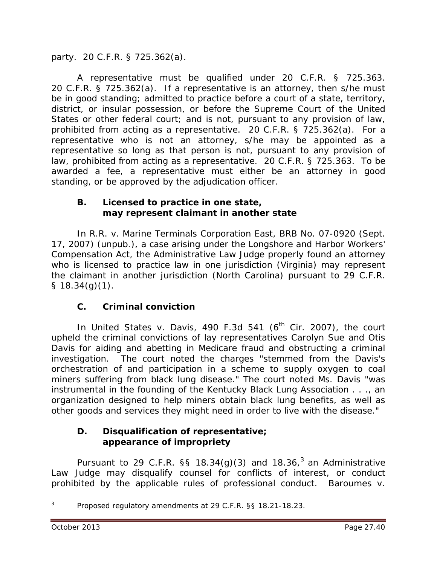party. 20 C.F.R. § 725.362(a).

A representative must be qualified under 20 C.F.R. § 725.363. 20 C.F.R. § 725.362(a). If a representative is an attorney, then s/he must be in good standing; admitted to practice before a court of a state, territory, district, or insular possession, or before the Supreme Court of the United States or other federal court; and is not, pursuant to any provision of law, prohibited from acting as a representative. 20 C.F.R. § 725.362(a). For a representative who is not an attorney, s/he may be appointed as a representative so long as that person is not, pursuant to any provision of law, prohibited from acting as a representative. 20 C.F.R. § 725.363. To be awarded a fee, a representative must either be an attorney in good standing, or be approved by the adjudication officer.

#### **B. Licensed to practice in one state, may represent claimant in another state**

In *R.R. v. Marine Terminals Corporation East*, BRB No. 07-0920 (Sept. 17, 2007) (unpub.), a case arising under the Longshore and Harbor Workers' Compensation Act, the Administrative Law Judge properly found an attorney who is licensed to practice law in one jurisdiction (Virginia) may represent the claimant in another jurisdiction (North Carolina) pursuant to 29 C.F.R.  $§ 18.34(q)(1).$ 

## **C. Criminal conviction**

In *United States v. Davis*, 490 F.3d 541 (6<sup>th</sup> Cir. 2007), the court upheld the criminal convictions of lay representatives Carolyn Sue and Otis Davis for aiding and abetting in Medicare fraud and obstructing a criminal investigation. The court noted the charges "stemmed from the Davis's orchestration of and participation in a scheme to supply oxygen to coal miners suffering from black lung disease." The court noted Ms. Davis "was instrumental in the founding of the Kentucky Black Lung Association . . ., an organization designed to help miners obtain black lung benefits, as well as other goods and services they might need in order to live with the disease."

## **D. Disqualification of representative; appearance of impropriety**

Pursuant to 29 C.F.R. §§ 18.[3](#page-39-0)4(g)(3) and 18.36,<sup>3</sup> an Administrative Law Judge may disqualify counsel for conflicts of interest, or conduct prohibited by the applicable rules of professional conduct. *Baroumes v.* 

<span id="page-39-0"></span>Proposed regulatory amendments at 29 C.F.R. §§ 18.21-18.23.  $\overline{a}$